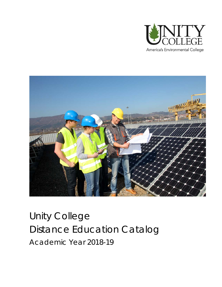



# <span id="page-0-0"></span>Unity College Distance Education Catalog Academic Year 2018-19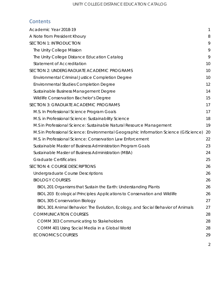### **Contents**

| A Note from President Khoury<br>8<br><b>SECTION 1: INTRODUCTION</b><br>9<br>The Unity College Mission<br>9<br>The Unity College Distance Education Catalog<br>9<br><b>Statement of Accreditation</b><br>10<br>SECTION 2: UNDERGRADUATE ACADEMIC PROGRAMS<br>10<br>Environmental Criminal Justice Completion Degree<br>10<br>12<br><b>Environmental Studies Completion Degree</b><br>14<br>Sustainable Business Management Degree<br>Wildlife Conservation Bachelor's Degree<br>15 |
|-----------------------------------------------------------------------------------------------------------------------------------------------------------------------------------------------------------------------------------------------------------------------------------------------------------------------------------------------------------------------------------------------------------------------------------------------------------------------------------|
|                                                                                                                                                                                                                                                                                                                                                                                                                                                                                   |
|                                                                                                                                                                                                                                                                                                                                                                                                                                                                                   |
|                                                                                                                                                                                                                                                                                                                                                                                                                                                                                   |
|                                                                                                                                                                                                                                                                                                                                                                                                                                                                                   |
|                                                                                                                                                                                                                                                                                                                                                                                                                                                                                   |
|                                                                                                                                                                                                                                                                                                                                                                                                                                                                                   |
|                                                                                                                                                                                                                                                                                                                                                                                                                                                                                   |
|                                                                                                                                                                                                                                                                                                                                                                                                                                                                                   |
|                                                                                                                                                                                                                                                                                                                                                                                                                                                                                   |
|                                                                                                                                                                                                                                                                                                                                                                                                                                                                                   |
| SECTION 3: GRADUATE ACADEMIC PROGRAMS<br>17                                                                                                                                                                                                                                                                                                                                                                                                                                       |
| M.S. In Professional Science Program Goals<br>17                                                                                                                                                                                                                                                                                                                                                                                                                                  |
| M.S. in Professional Science: Sustainability Science<br>18                                                                                                                                                                                                                                                                                                                                                                                                                        |
| M.S in Professional Science: Sustainable Natural Resource Management<br>19                                                                                                                                                                                                                                                                                                                                                                                                        |
| M.S in Professional Science: Environmental Geographic Information Science (GIScience)<br>20                                                                                                                                                                                                                                                                                                                                                                                       |
| M.S. in Professional Science: Conservation Law Enforcement<br>22                                                                                                                                                                                                                                                                                                                                                                                                                  |
| Sustainable Master of Business Administration Program Goals<br>23                                                                                                                                                                                                                                                                                                                                                                                                                 |
| Sustainable Master of Business Administration (MBA)<br>24                                                                                                                                                                                                                                                                                                                                                                                                                         |
| <b>Graduate Certificates</b><br>25                                                                                                                                                                                                                                                                                                                                                                                                                                                |
| <b>SECTION 4: COURSE DESCRIPTIONS</b><br>26                                                                                                                                                                                                                                                                                                                                                                                                                                       |
| <b>Undergraduate Course Descriptions</b><br>26                                                                                                                                                                                                                                                                                                                                                                                                                                    |
| <b>BIOLOGY COURSES</b><br>26                                                                                                                                                                                                                                                                                                                                                                                                                                                      |
| BIOL 201 Organisms that Sustain the Earth: Understanding Plants<br>26                                                                                                                                                                                                                                                                                                                                                                                                             |
| BIOL 203 Ecological Principles: Applications to Conservation and Wildlife<br>26                                                                                                                                                                                                                                                                                                                                                                                                   |
| <b>BIOL 305 Conservation Biology</b><br>27                                                                                                                                                                                                                                                                                                                                                                                                                                        |
| BIOL 301 Animal Behavior: The Evolution, Ecology, and Social Behavior of Animals<br>27                                                                                                                                                                                                                                                                                                                                                                                            |
| <b>COMMUNICATION COURSES</b><br>28                                                                                                                                                                                                                                                                                                                                                                                                                                                |
| <b>COMM 303 Communicating to Stakeholders</b><br>28                                                                                                                                                                                                                                                                                                                                                                                                                               |
| COMM 401 Using Social Media in a Global World<br>28                                                                                                                                                                                                                                                                                                                                                                                                                               |
| <b>ECONOMICS COURSES</b><br>29                                                                                                                                                                                                                                                                                                                                                                                                                                                    |
| 2                                                                                                                                                                                                                                                                                                                                                                                                                                                                                 |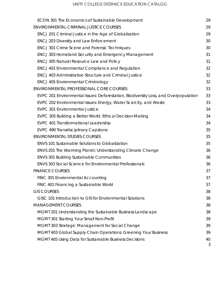| ECON 301 The Economics of Sustainable Development                                   | 29 |
|-------------------------------------------------------------------------------------|----|
| ENVIRONMENTAL CRIMINAL JUSTICE COURSES                                              | 29 |
| ENCJ 201 Criminal Justice in the Age of Globalization                               | 29 |
| <b>ENCJ 203 Diversity and Law Enforcement</b>                                       | 30 |
| <b>ENCJ 301 Crime Scene and Forensic Techniques</b>                                 | 30 |
| <b>ENCJ 303 Homeland Security and Emergency Management</b>                          | 31 |
| <b>ENCJ 305 Natural Resource Law and Policy</b>                                     | 31 |
| <b>ENCJ 401 Environmental Compliance and Regulation</b>                             | 32 |
| <b>ENCJ 403 Administrative Structure and Criminal Justice</b>                       | 32 |
| <b>ENCJ 405 Environmental Criminology</b>                                           | 32 |
| ENVIRONMENTAL PROFESSIONAL CORE COURSES                                             | 33 |
| EVPC 201 Environmental Issues: Deforestation, Biodiversity Loss, and Overpopulation | 33 |
| EVPC 202 Environmental Issues: Energy, Water Scarcity, and Waste                    | 33 |
| <b>EVPC 301 Environmental Justice</b>                                               | 34 |
| EVPC 305 Building a Better World: Ethical Decision-Making                           | 34 |
| <b>EVPC 401 Transformational Leadership</b>                                         | 34 |
| <b>EVPC 490 Transdisciplinary Capstone</b>                                          | 35 |
| <b>ENVIRONMENTAL STUDIES COURSES</b>                                                | 35 |
| <b>ENVS 101 Sustainable Solutions to Globalization</b>                              | 35 |
| ENVS 201 The Warming Planet: Understanding Climate Change                           | 36 |
| <b>ENVS 301 Building Sustainable Communities</b>                                    | 36 |
| <b>ENVS 303 Social Science for Environmental Professionals</b>                      | 36 |
| <b>FINANCE COURSES</b>                                                              | 37 |
| FINC 301 Environmental Accounting                                                   | 37 |
| FINC 401 Financing a Sustainable World                                              | 37 |
| <b>GIS COURSES</b>                                                                  | 38 |
| GISC 101 Introduction to GIS for Environmental Solutions                            | 38 |
| <b>MANAGEMENT COURSES</b>                                                           | 38 |
| MGMT 201 Understanding the Sustainable Business Landscape                           | 38 |
| MGMT 301 Starting Your Small Non-Profit                                             | 39 |
| MGMT 303 Strategic Management for Social Change                                     | 39 |
| MGMT 403 Global Supply Chain Operations: Greening Your Business                     | 39 |
| <b>MGMT 405 Using Data for Sustainable Business Decisions</b>                       | 40 |
|                                                                                     | 3  |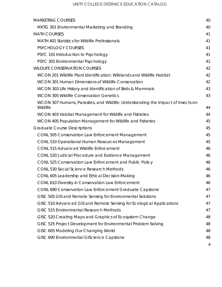| <b>MARKETING COURSES</b>                                                                     | 40 |
|----------------------------------------------------------------------------------------------|----|
| MKTG 301 Environmental Marketing and Branding                                                | 40 |
| <b>MATH COURSES</b>                                                                          | 41 |
| <b>MATH 401 Statistics for Wildlife Professionals</b>                                        | 41 |
| PSYCHOLOGY COURSES                                                                           | 41 |
| PSYC 101 Introduction to Psychology                                                          | 41 |
| PSYC 301 Environmental Psychology                                                            | 41 |
| <b>WILDLIFE CONSERVATION COURSES</b>                                                         | 42 |
| WCON 201 Wildlife Plant Identification: Wildlands and Wildlife Habitat                       | 42 |
| WCON 301 Human Dimensions of Wildlife Conservation                                           | 42 |
| WCON 303 Life History and Identification of Birds & Mammals                                  | 43 |
| <b>WCON 305 Wildlife Conservation Genetics</b>                                               | 43 |
| WCON 307 Humans, Parasites, and Wildlife: Understanding the Impact of Insects on<br>Wildlife | 44 |
| WCON 403 Habitat Management for Wildlife and Fisheries                                       | 44 |
| WCON 405 Population Management for Wildlife and Fisheries                                    | 45 |
| <b>Graduate Course Descriptions</b>                                                          | 45 |
| <b>CONL 505 Conservation Law Enforcement Management</b>                                      | 45 |
| CONL 510 Operational Human Resources Management                                              | 45 |
| <b>CONL 515 Advanced Wildlife Enforcement</b>                                                | 46 |
| CONL 520 Judicial Procedure and Evidence Management                                          | 46 |
| CONL 525 Conservation Law Enforcement and Public Policy                                      | 46 |
| <b>CONL 530 Social Science Research Methods</b>                                              | 46 |
| CONL 605 Leadership and Ethical Decision-Making                                              | 46 |
| CONL 610 Diversity in Conservation Law Enforcement                                           | 46 |
| CONL 690 Conservation Law Enforcement Graduate Capstone                                      | 47 |
| GISC 505 GIS and Remote Sensing for Environmental Solutions                                  | 47 |
| GISC 510 Advanced GIS and Remote Sensing for Ecological Applications                         | 47 |
| GISC 515 Environmental Research Methods                                                      | 47 |
| GISC 520 Creating Maps and Graphics of Ecosystem Change                                      | 48 |
| GISC 525 Project Development for Environmental Problem Solving                               | 48 |
| GISC 605 Modeling Our Changing World                                                         | 48 |
| GISC 690 Environmental GIScience Capstone                                                    | 48 |
|                                                                                              | 4  |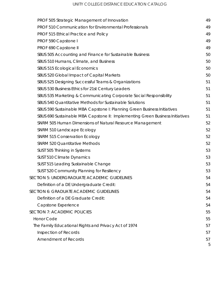| PROF 505 Strategic Management of Innovation                                   | 49 |
|-------------------------------------------------------------------------------|----|
| PROF 510 Communication for Environmental Professionals                        | 49 |
| PROF 515 Ethical Practice and Policy                                          | 49 |
| PROF 590 Capstone I                                                           | 49 |
| PROF 690 Capstone II                                                          | 49 |
| SBUS 505 Accounting and Finance for Sustainable Business                      | 50 |
| SBUS 510 Humans, Climate, and Business                                        | 50 |
| SBUS 515 Ecological Economics                                                 | 50 |
| SBUS 520 Global Impact of Capital Markets                                     | 50 |
| SBUS 525 Designing Successful Teams & Organizations                           | 51 |
| SBUS 530 Business Ethics for 21st Century Leaders                             | 51 |
| SBUS 535 Marketing & Communicating Corporate Social Responsibility            | 51 |
| SBUS 540 Quantitative Methods for Sustainable Solutions                       | 51 |
| SBUS 590 Sustainable MBA Capstone I: Planning Green Business Initiatives      | 51 |
| SBUS 690 Sustainable MBA Capstone II: Implementing Green Business Initiatives | 51 |
| SNRM 505 Human Dimensions of Natural Resource Management                      | 52 |
| SNRM 510 Landscape Ecology                                                    | 52 |
| <b>SNRM 515 Conservation Ecology</b>                                          | 52 |
| <b>SNRM 520 Quantitative Methods</b>                                          | 52 |
| SUST 505 Thinking in Systems                                                  | 53 |
| SUST 510 Climate Dynamics                                                     | 53 |
| SUST 515 Leading Sustainable Change                                           | 53 |
| SUST 520 Community Planning for Resiliency                                    | 53 |
| SECTION 5: UNDERGRADUATE ACADEMIC GUIDELINES                                  | 54 |
| Definition of a DE Undergraduate Credit:                                      | 54 |
| SECTION 6: GRADUATE ACADEMIC GUIDELINES                                       | 54 |
| Definition of a DE Graduate Credit:                                           | 54 |
| Capstone Experience                                                           | 54 |
| <b>SECTION 7: ACADEMIC POLICIES</b>                                           | 55 |
| <b>Honor Code</b>                                                             | 55 |
| The Family Educational Rights and Privacy Act of 1974                         | 57 |
| Inspection of Records                                                         | 57 |
| <b>Amendment of Records</b>                                                   | 57 |
|                                                                               | 5  |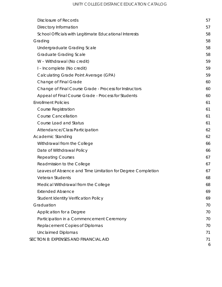| <b>Disclosure of Records</b>                                | 57 |
|-------------------------------------------------------------|----|
| Directory Information                                       | 57 |
| School Officials with Legitimate Educational Interests      | 58 |
| Grading                                                     | 58 |
| Undergraduate Grading Scale                                 | 58 |
| <b>Graduate Grading Scale</b>                               | 58 |
| W - Withdrawal (No credit)                                  | 59 |
| I - Incomplete (No credit)                                  | 59 |
| Calculating Grade Point Average (GPA)                       | 59 |
| Change of Final Grade                                       | 60 |
| Change of Final Course Grade - Process for Instructors      | 60 |
| Appeal of Final Course Grade - Process for Students         | 60 |
| <b>Enrollment Policies</b>                                  | 61 |
| <b>Course Registration</b>                                  | 61 |
| <b>Course Cancellation</b>                                  | 61 |
| <b>Course Load and Status</b>                               | 61 |
| Attendance/Class Participation                              | 62 |
| <b>Academic Standing</b>                                    | 62 |
| Withdrawal from the College                                 | 66 |
| Date of Withdrawal Policy                                   | 66 |
| <b>Repeating Courses</b>                                    | 67 |
| Readmission to the College                                  | 67 |
| Leaves of Absence and Time Limitation for Degree Completion | 67 |
| Veteran Students                                            | 68 |
| Medical Withdrawal from the College                         | 68 |
| <b>Extended Absence</b>                                     | 69 |
| <b>Student Identity Verification Policy</b>                 | 69 |
| Graduation                                                  | 70 |
| Application for a Degree                                    | 70 |
| Participation in a Commencement Ceremony                    | 70 |
| Replacement Copies of Diplomas                              | 70 |
| <b>Unclaimed Diplomas</b>                                   | 71 |
| <b>SECTION 8: EXPENSES AND FINANCIAL AID</b>                | 71 |
|                                                             | 6  |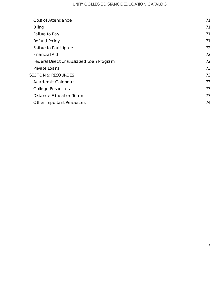| Cost of Attendance                       | 71 |
|------------------------------------------|----|
| Billing                                  | 71 |
| Failure to Pay                           | 71 |
| <b>Refund Policy</b>                     | 71 |
| Failure to Participate                   | 72 |
| <b>Financial Aid</b>                     | 72 |
| Federal Direct Unsubsidized Loan Program | 72 |
| Private Loans                            | 73 |
| <b>SECTION 9: RESOURCES</b>              | 73 |
| Academic Calendar                        | 73 |
| <b>College Resources</b>                 | 73 |
| <b>Distance Education Team</b>           | 73 |
| <b>Other Important Resources</b>         | 74 |
|                                          |    |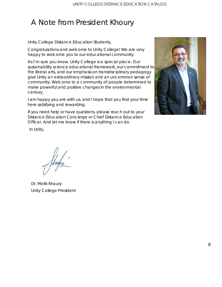## <span id="page-7-0"></span>A Note from President Khoury

Unity College Distance Education Students,

Congratulations and welcome to Unity College! We are very happy to welcome you to our educational community.

As I'm sure you know, Unity College is a special place. Our sustainability science educational framework, our commitment to the liberal arts, and our emphasis on transdisciplinary pedagogy give Unity an extraordinary mission and an uncommon sense of community. Welcome to a community of people determined to make powerful and positive changes in the environmental century.

I am happy you are with us, and I hope that you find your time here satisfying and rewarding.

If you need help or have questions, please reach out to your Distance Education Concierge or Chief Distance Education Officer. And let me know if there is anything I can do.



In Unity,

Dr. Melik Khoury Unity College President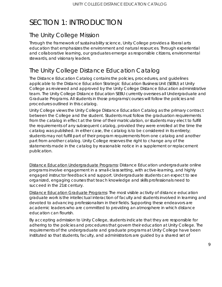## <span id="page-8-0"></span>SECTION 1: INTRODUCTION

### <span id="page-8-1"></span>The Unity College Mission

Through the framework of sustainability science, Unity College provides a liberal arts education that emphasizes the environment and natural resources. Through experiential and collaborative learning, our graduates emerge as responsible citizens, environmental stewards, and visionary leaders.

### <span id="page-8-2"></span>The Unity College Distance Education Catalog

The Distance Education Catalog contains the policies, procedures, and guidelines applicable to the Distance Education Strategic Education Business Unit (SEBU) at Unity College as reviewed and approved by the Unity College Distance Education administrative team. The Unity College Distance Education SEBU currently oversees all Undergraduate and Graduate Programs. All students in those programs/courses will follow the policies and procedures outlined in this catalog.

Unity College views the *Unity College Distance Education Catalog* as the primary contract between the College and the student. Students must follow the graduation requirements from the catalog in effect at the time of their matriculation, or students may elect to fulfill the requirements of any subsequent catalog, provided they were enrolled at the time the catalog was published. In either case, the catalog is to be considered in its entirety; students may not fulfill part of their program requirements from one catalog and another part from another catalog. Unity College reserves the right to change any of the statements made in the catalog by reasonable notice in a supplement or replacement publication.

Distance Education Undergraduate Programs: Distance Education undergraduate online programs involve engagement in a small-class setting, with active-learning, and highly engaged instructor feedback and support. Undergraduate students can expect to see organized, engaging courses that teach knowledge and skills professionals need to succeed in the 21st century.

Distance Education Graduate Programs: The most visible activity of distance education graduate work is the intellectual interaction of faculty and students involved in learning and devoted to advancing professionalism in their fields. Supporting these endeavors are academic leaders who are committed to providing an atmosphere in which distance education can flourish.

By accepting admission to Unity College, students indicate that they are responsible for adhering to the policies and procedures that govern their education at Unity College. The requirements of the undergraduate and graduate programs at Unity College have been instituted so that students, faculty, and administrators are guided by a shared set of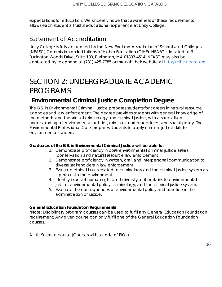expectations for education. We sincerely hope that awareness of these requirements allows each student a fruitful educational experience at Unity College.

### <span id="page-9-0"></span>Statement of Accreditation

Unity College is fully accredited by the New England Association of Schools and Colleges (NEASC) Commission on Institutions of Higher Education (CIHE). NEASC is located at 3 Burlington Woods Drive, Suite 100, Burlington, MA 01803-4514. NEASC may also be contacted by telephone at (781) 425-7785 or through their website at [http://cihe.neasc.org](http://cihe.neasc.org/)

## <span id="page-9-1"></span>SECTION 2: UNDERGRADUATE ACADEMIC PROGRAMS

### <span id="page-9-2"></span>**Environmental Criminal Justice Completion Degree**

The B.S. in Environmental Criminal Justice prepares students for careers in natural resource agencies and law enforcement. The degree provides students with general knowledge of the methods and theories of criminology and criminal justice, with a specialized understanding of environmental policies, criminal court procedures, and social policy. The Environmental Professional Core prepares students to apply criminal justice skills to environmental careers.

#### **Graduates of the B.S. in Environmental Criminal Justice will be able to:**

- 1. Demonstrate proficiency in core environmental criminal justice areas (conservation and natural resource law enforcement).
- 2. Demonstrate proficiency in written, oral, and interpersonal communication to diverse stakeholders in law enforcement.
- 3. Evaluate ethical issues related to criminology and the criminal justice system as it pertains to the environment.
- 4. Identify issues of human rights and diversity as it pertains to environmental justice, environmental policy, criminology, and the criminal justice system.
- 5. Evaluate the consequences of environmental policy and practice in the administration of justice.

#### **General Education Foundation Requirements**

*\*Note: Disciplinary program courses can be used to fulfill any General Education Foundation requirement; Any given course can only fulfill one of the General Education Foundation courses.*

A Life Science course (Courses with a code of BIOL)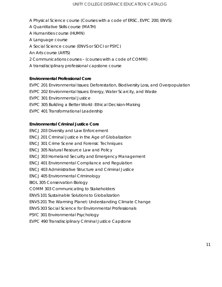- A Physical Science course (Courses with a code of ERSC, EVPC 200; ENVS)
- A Quantitative Skills course (MATH)
- A Humanities course (HUMN)
- A Language course
- A Social Science course (ENVS or SOCI or PSYC)
- An Arts course (ARTS)
- 2 Communications courses (courses with a code of COMM)
- A transdisciplinary professional capstone course

#### **Environmental Professional Core**

EVPC 201 Environmental Issues: Deforestation, Biodiversity Loss, and Overpopulation EVPC 202 Environmental Issues: Energy, Water Scarcity, and Waste EVPC 301 Environmental Justice EVPC 305 Building a Better World: Ethical Decision-Making EVPC 401 Transformational Leadership

#### **Environmental Criminal Justice Core**

ENCJ 203 Diversity and Law Enforcement ENCJ 201 Criminal Justice in the Age of Globalization ENCJ 301 Crime Scene and Forensic Techniques ENCJ 305 Natural Resource Law and Policy ENCJ 303 Homeland Security and Emergency Management ENCJ 401 Environmental Compliance and Regulation ENCJ 403 Administrative Structure and Criminal Justice ENCJ 405 Environmental Criminology BIOL 305 Conservation Biology COMM 303 Communicating to Stakeholders ENVS 101 Sustainable Solutions to Globalization ENVS 201 The Warming Planet: Understanding Climate Change ENVS 303 Social Science for Environmental Professionals PSYC 301 Environmental Psychology EVPC 490 Transdisciplinary Criminal Justice Capstone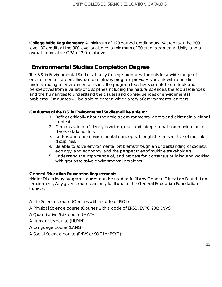**College Wide Requirements:** *A minimum of 120 earned credit hours, 24 credits at the 200*  level, 30 credits at the 300 level or above, a minimum of 30 credits earned at Unity, and an *overall cumulative GPA of 2.0 or above*

### <span id="page-11-0"></span>**Environmental Studies Completion Degree**

The B.S. in Environmental Studies at Unity College prepares students for a wide range of environmental careers. This transdisciplinary program provides students with a holistic understanding of environmental issues. The program teaches students to use tools and perspectives from a variety of disciplines including the natural sciences, the social sciences, and the humanities to understand the causes and consequences of environmental problems. Graduates will be able to enter a wide variety of environmental careers.

#### **Graduates of the B.S. in Environmental Studies will be able to:**

- 1. Reflect critically about their role as environmental actors and citizens in a global context.
- 2. Demonstrate proficiency in written, oral, and interpersonal communication to diverse stakeholders.
- 3. Understand core environmental concepts through the perspective of multiple disciplines.
- 4. Be able to solve environmental problems through an understanding of society, ecology, and economy, and the perspectives of multiple stakeholders.
- 5. Understand the importance of, and process for, consensus building and working with groups to solve environmental problems.

#### **General Education Foundation Requirements**

*\*Note: Disciplinary program courses can be used to fulfill any General Education Foundation requirement; Any given course can only fulfill one of the General Education Foundation courses.*

- A Life Science course (Courses with a code of BIOL)
- A Physical Science course (Courses with a code of ERSC, EVPC 200; ENVS)
- A Quantitative Skills course (MATH)
- A Humanities course (HUMN)
- A Language course (LANG)
- A Social Science course (ENVS or SOCI or PSYC)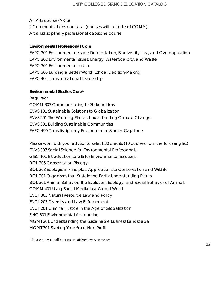An Arts course (ARTS) 2 Communications courses – (courses with a code of COMM) A transdisciplinary professional capstone course

#### **Environmental Professional Core**

EVPC 201 Environmental Issues: Deforestation, Biodiversity Loss, and Overpopulation EVPC 202 Environmental Issues: Energy, Water Scarcity, and Waste EVPC 301 Environmental Justice EVPC 305 Building a Better World: Ethical Decision-Making EVPC 401 Transformational Leadership

#### **Environmental Studies Core[1](#page-12-0)**

*Required:* COMM 303 Communicating to Stakeholders ENVS 101 Sustainable Solutions to Globalization ENVS 201 The Warming Planet: Understanding Climate Change ENVS 301 Building Sustainable Communities EVPC 490 Transdisciplinary Environmental Studies Capstone

*Please work with your advisor to select 30 credits (10 courses from the following list)*

ENVS 303 Social Science for Environmental Professionals

GISC 101 Introduction to GIS for Environmental Solutions

BIOL 305 Conservation Biology

BIOL 203 Ecological Principles: Applications to Conservation and Wildlife

BIOL 201 Organisms that Sustain the Earth: Understanding Plants

BIOL 301 Animal Behavior: The Evolution, Ecology, and Social Behavior of Animals

COMM 401 Using Social Media in a Global World

ENCJ 305 Natural Resource Law and Policy

ENCJ 203 Diversity and Law Enforcement

ENCJ 201 Criminal Justice in the Age of Globalization

FINC 301 Environmental Accounting

 $\overline{a}$ 

MGMT 201 Understanding the Sustainable Business Landscape

MGMT 301 Starting Your Small Non-Profit

<span id="page-12-0"></span><sup>1</sup> Please note: not all courses are offered every semester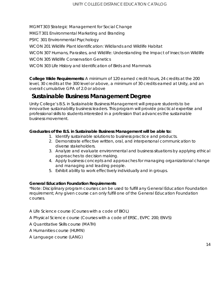MGMT 303 Strategic Management for Social Change

MKGT 301 Environmental Marketing and Branding

PSYC 301 Environmental Psychology

WCON 201 Wildlife Plant Identification: Wildlands and Wildlife Habitat

WCON 307 Humans, Parasites, and Wildlife: Understanding the Impact of Insects on Wildlife

WCON 305 Wildlife Conservation Genetics

WCON 303 Life History and Identification of Birds and Mammals

**College Wide Requirements:** *A minimum of 120 earned credit hours, 24 credits at the 200*  level, 30 credits at the 300 level or above, a minimum of 30 credits earned at Unity, and an *overall cumulative GPA of 2.0 or above*

### <span id="page-13-0"></span>**Sustainable Business Management Degree**

Unity College's B.S. in Sustainable Business Management will prepare students to be innovative sustainability business leaders. This program will provide practical expertise and professional skills to students interested in a profession that advances the sustainable business movement.

#### **Graduates of the B.S. in Sustainable Business Management will be able to:**

- 1. Identify sustainable solutions to business practice and products.
- 2. Demonstrate effective written, oral, and interpersonal communication to diverse stakeholders.
- 3. Analyze and evaluate environmental and business situations by applying ethical approaches to decision making.
- 4. Apply business concepts and approaches for managing organizational change and managing and leading people.
- 5. Exhibit ability to work effectively individually and in groups.

#### **General Education Foundation Requirements**

*\*Note: Disciplinary program courses can be used to fulfill any General Education Foundation requirement; Any given course can only fulfill one of the General Education Foundation courses.*

A Life Science course (Courses with a code of BIOL)

A Physical Science course (Courses with a code of ERSC, EVPC 200; ENVS)

A Quantitative Skills course (MATH)

A Humanities course (HUMN)

A Language course (LANG)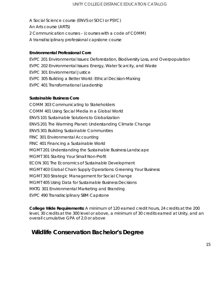A Social Science course (ENVS or SOCI or PSYC) An Arts course (ARTS) 2 Communication courses – (courses with a code of COMM) A transdisciplinary professional capstone course

#### **Environmental Professional Core**

EVPC 201 Environmental Issues: Deforestation, Biodiversity Loss, and Overpopulation EVPC 202 Environmental Issues: Energy, Water Scarcity, and Waste EVPC 301 Environmental Justice EVPC 305 Building a Better World: Ethical Decision-Making EVPC 401 Transformational Leadership

#### **Sustainable Business Core**

COMM 303 Communicating to Stakeholders COMM 401 Using Social Media in a Global World ENVS 101 Sustainable Solutions to Globalization ENVS 201 The Warming Planet: Understanding Climate Change ENVS 301 Building Sustainable Communities FINC 301 Environmental Accounting FINC 401 Financing a Sustainable World MGMT 201 Understanding the Sustainable Business Landscape MGMT 301 Starting Your Small Non-Profit ECON 301 The Economics of Sustainable Development MGMT 403 Global Chain Supply Operations: Greening Your Business MGMT 303 Strategic Management for Social Change MGMT 405 Using Data for Sustainable Business Decisions MKTG 301 Environmental Marketing and Branding EVPC 490 Transdisciplinary SBM Capstone

**College Wide Requirements:** *A minimum of 120 earned credit hours, 24 credits at the 200 level, 30 credits at the 300 level or above, a minimum of 30 credits earned at Unity, and an overall cumulative GPA of 2.0 or above*

### <span id="page-14-0"></span>**Wildlife Conservation Bachelor's Degree**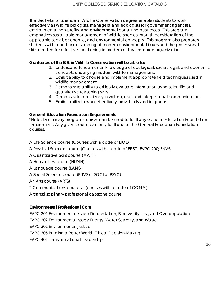The Bachelor of Science in Wildlife Conservation degree enables students to work effectively as wildlife biologists, managers, and ecologists for government agencies, environmental non-profits, and environmental consulting businesses. This program emphasizes sustainable management of wildlife species through consideration of the applicable social, economic, and environmental concepts. This program also prepares students with sound understanding of modern environmental issues and the professional skills needed for effective functioning in modern natural resource organizations.

#### **Graduates of the B.S. in Wildlife Conservation will be able to:**

- 1. Understand fundamental knowledge of ecological, social, legal, and economic concepts underlying modern wildlife management.
- 2. Exhibit ability to choose and implement appropriate field techniques used in wildlife management.
- 3. Demonstrate ability to critically evaluate information using scientific and quantitative reasoning skills.
- 4. Demonstrate proficiency in written, oral, and interpersonal communication.
- 5. Exhibit ability to work effectively individually and in groups.

#### **General Education Foundation Requirements**

*\*Note: Disciplinary program courses can be used to fulfill any General Education Foundation requirement; Any given course can only fulfill one of the General Education Foundation courses.*

- A Life Science course (Courses with a code of BIOL)
- A Physical Science course (Courses with a code of ERSC, EVPC 200; ENVS)
- A Quantitative Skills course (MATH)
- A Humanities course (HUMN)
- A Language course (LANG)
- A Social Science course (ENVS or SOCI or PSYC)

An Arts course (ARTS)

- 2 Communications courses (courses with a code of COMM)
- A transdisciplinary professional capstone course

#### **Environmental Professional Core**

EVPC 201 Environmental Issues: Deforestation, Biodiversity Loss, and Overpopulation

- EVPC 202 Environmental Issues: Energy, Water Scarcity, and Waste
- EVPC 301 Environmental Justice
- EVPC 305 Building a Better World: Ethical Decision-Making
- EVPC 401 Transformational Leadership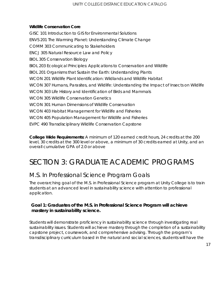#### **Wildlife Conservation Core**

GISC 101 Introduction to GIS for Environmental Solutions ENVS 201 The Warming Planet: Understanding Climate Change COMM 303 Communicating to Stakeholders ENCJ 305 Natural Resource Law and Policy BIOL 305 Conservation Biology BIOL 203 Ecological Principles: Applications to Conservation and Wildlife BIOL 201 Organisms that Sustain the Earth: Understanding Plants WCON 201 Wildlife Plant Identification: Wildlands and Wildlife Habitat WCON 307 Humans, Parasites, and Wildlife: Understanding the Impact of Insects on Wildlife WCON 303 Life History and Identification of Birds and Mammals WCON 305 Wildlife Conservation Genetics WCON 301 Human Dimensions of Wildlife Conservation WCON 403 Habitat Management for Wildlife and Fisheries WCON 405 Population Management for Wildlife and Fisheries EVPC 490 Transdisciplinary Wildlife Conservation Capstone

**College Wide Requirements:** *A minimum of 120 earned credit hours, 24 credits at the 200*  level, 30 credits at the 300 level or above, a minimum of 30 credits earned at Unity, and an *overall cumulative GPA of 2.0 or above*

## <span id="page-16-0"></span>SECTION 3: GRADUATE ACADEMIC PROGRAMS

### <span id="page-16-1"></span>M.S. In Professional Science Program Goals

The overarching goal of the M.S. in Professional Science program at Unity College is to train students at an advanced level in sustainability science with attention to professional application.

#### *Goal 1: Graduates of the M.S. in Professional Science Program will achieve mastery in sustainability science.*

Students will demonstrate proficiency in sustainability science through investigating real sustainability issues. Students will achieve mastery through the completion of a sustainability capstone project, coursework, and comprehensive advising. Through the program's transdisciplinary curriculum based in the natural and social sciences, students will have the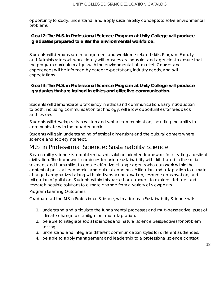opportunity to study, understand, and apply sustainability concepts to solve environmental problems.

#### *Goal 2: The M.S. in Professional Science Program at Unity College will produce graduates prepared to enter the environmental workforce.*

Students will demonstrate management and workforce related skills. Program Faculty and Administrators will work closely with businesses, industries and agencies to ensure that the program curriculum aligns with the environmental job market. Courses and experiences will be informed by career expectations, industry needs, and skill expectations.

#### *Goal 3: The M.S. in Professional Science Program at Unity College will produce graduates that are trained in ethics and effective communication.*

Students will demonstrate proficiency in ethics and communication. Early introduction to both, including communication technology, will allow opportunities for feedback and review.

Students will develop skills in written and verbal communication, including the ability to communicate with the broader public.

Students will gain understanding of ethical dimensions and the cultural context where science and society intersect.

### <span id="page-17-0"></span>M.S. in Professional Science: Sustainability Science

Sustainability science is a problem-based, solution oriented framework for creating a resilient civilization. The framework combines technical sustainability with skills based in the social sciences and humanities to create effective change agents who can work within the context of political, economic, and cultural concerns. Mitigation and adaptation to climate change is emphasized along with biodiversity conservation, resource conservation, and mitigation of pollution. Students within this track should expect to explore, debate, and research possible solutions to climate change from a variety of viewpoints.

Program Learning Outcomes

Graduates of the MS in Professional Science, with a focus in Sustainability Science will:

- 1. understand and articulate the fundamental processes and multi-perspective issues of climate change plus mitigation and adaptation.
- 2. be able to integrate social sciences and natural science perspectives for problem solving.
- 3. understand and integrate different communication styles for different audiences.
- 4. be able to apply management and leadership to a professional science context.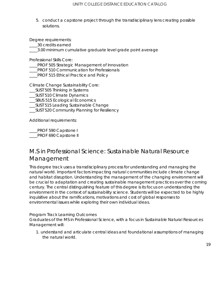5. conduct a capstone project through the transdisciplinary lens creating possible solutions.

Degree requirements:

\_\_\_\_30 credits earned

\_\_\_\_3.00 minimum cumulative graduate level grade point average

Professional Skills Core:

**\_\_\_\_PROF 505 Strategic Management of Innovation** 

PROF 510 Communication for Professionals

\_\_\_\_PROF 515 Ethical Practice and Policy

Climate Change Sustainability Core:

- \_\_\_SUST 505 Thinking in Systems
- \_\_\_SUST 510 Climate Dynamics
- \_\_\_SBUS 515 Ecological Economics

\_\_\_SUST 515 Leading Sustainable Change

\_\_\_SUST 520 Community Planning for Resiliency

Additional requirements:

\_\_\_\_PROF 590 Capstone I **PROF 690 Capstone II** 

### <span id="page-18-0"></span>M.S in Professional Science: Sustainable Natural Resource Management

This degree track uses a transdisciplinary process for understanding and managing the natural world. Important factors impacting natural communities include climate change and habitat disruption. Understanding the management of the changing environment will be crucial to adaptation and creating sustainable management practices over the coming century. The central distinguishing feature of this degree is its focus on understanding the environment in the context of sustainability science. Students will be expected to be highly inquisitive about the ramifications, motivations and cost of global responses to environmental issues while exploring their own individual ideas.

#### Program Track Learning Outcomes

Graduates of the MS in Professional Science, with a focus in Sustainable Natural Resources Management will:

1. understand and articulate central ideas and foundational assumptions of managing the natural world.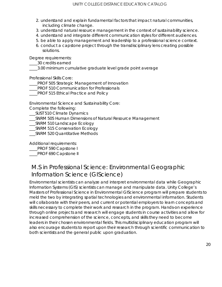- 2. understand and explain fundamental factors that impact natural communities, including climate change.
- 3. understand natural resource management in the context of sustainability science.
- 4. understand and integrate different communication styles for different audiences.
- 5. be able to apply management and leadership to a professional science context.
- 6. conduct a capstone project through the transdisciplinary lens creating possible solutions.

Degree requirements:

\_\_\_\_30 credits earned

\_\_\_\_3.00 minimum cumulative graduate level grade point average

Professional Skills Core:

**\_\_\_PROF 505 Strategic Management of Innovation** 

PROF 510 Communication for Professionals

\_\_\_\_PROF 515 Ethical Practice and Policy

Environmental Science and Sustainability Core:

Complete the following:

- \_\_\_SUST 510 Climate Dynamics
- \_\_\_SNRM 505 Human Dimensions of Natural Resource Management
- \_\_\_SNRM 510 Landscape Ecology
- \_\_\_SNRM 515 Conservation Ecology
- \_\_\_SNRM 520 Quantitative Methods

Additional requirements:

\_\_\_\_PROF 590 Capstone I

PROF 690 Capstone II

### <span id="page-19-0"></span>M.S in Professional Science: Environmental Geographic Information Science (GIScience)

Environmental scientists can analyze and interpret environmental data while Geographic Information Systems (GIS) scientists can manage and manipulate data. Unity College's Masters of Professional Science in Environmental GIScience program will prepare students to meld the two by integrating spatial technologies and environmental information. Students will collaborate with their peers, and current or potential employers to learn concepts and skills necessary to complete their work and research in the program. Hands-on experience through online projects and research will engage students in course activities and allow for increased comprehension of the science, concepts, and skills they need to become leaders in their chosen environmental fields. This multidisciplinary education program will also encourage students to report upon their research through scientific communication to both scientists and the general public upon graduation.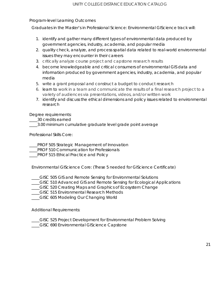#### Program-level Learning Outcomes

Graduates in the Master's in Professional Science: Environmental GIScience track will:

- 1. identify and gather many different types of environmental data produced by government agencies, industry, academia, and popular media
- 2. quality check, analyze, and process spatial data related to real-world environmental issues they may encounter in their careers
- 3. critically analyze course project and capstone research results
- 4. become knowledgeable and critical consumers of environmental GIS data and information produced by government agencies, industry, academia, and popular media
- 5. write a grant proposal and construct a budget to conduct research
- 6. learn to work in a team and communicate the results of a final research project to a variety of audiences via presentations, videos, and/or written work
- 7. identify and discuss the ethical dimensions and policy issues related to environmental research

Degree requirements:

\_\_\_\_30 credits earned

\_3.00 minimum cumulative graduate level grade point average

Professional Skills Core:

\_\_\_\_PROF 505 Strategic Management of Innovation

PROF 510 Communication for Professionals

PROF 515 Ethical Practice and Policy

Environmental GIScience Core: (These 5 needed for GIScience Certificate)

- \_\_\_\_GISC 505 GIS and Remote Sensing for Environmental Solutions
- \_\_\_\_GISC 510 Advanced GIS and Remote Sensing for Ecological Applications
- \_\_\_\_GISC 520 Creating Maps and Graphics of Ecosystem Change
- \_\_\_\_GISC 515 Environmental Research Methods
- \_\_\_\_GISC 605 Modeling Our Changing World

Additional Requirements:

- \_\_\_\_GISC 525 Project Development for Environmental Problem Solving
- \_\_\_\_GISC 690 Environmental GIScience Capstone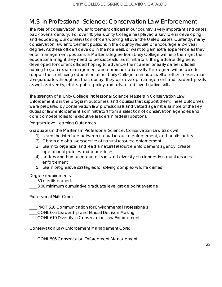### <span id="page-21-0"></span>M.S. in Professional Science: Conservation Law Enforcement

The role of conservation law enforcement officers in our country is very important and dates back over a century. For over 40 years Unity College has played a key role in developing and educating our conservation officers working all over the United States. Currently, many conservation law enforcement positions in the country require or encourage a 2-4 year degree. As these officers develop in their careers, or want to gain extra experience as they enter management positions, a Master's degree from Unity College will help them get the educational insight they need to be successful administrators. This graduate degree is developed for current officers hoping to advance their career, or early career officers hoping to gain extra management and communication skills. This degree will be able to support the continuing education of our Unity College alumni, as well as other conservation law graduates throughout the country. They will develop management and leadership skills, as well as diversity, ethics, public policy and advanced investigative skills.

The strength of a Unity College Professional Science Masters in Conservation Law Enforcement is in the program outcomes, and courses that support them. These outcomes were prepared by conservation law professionals and vetted against a sample of the key duties of law enforcement administrators from a selection of conservation agencies and core competencies for executive leaders in federal positions.

Program-level Learning Outcomes

Graduates in the Master's in Professional Science: Conservation Law track will:

- 1) Learn the interface between natural resource enforcement, and public policy
- 2) Obtain a global perspective of natural resource enforcement
- 3) Learn to organize and lead a natural resource enforcement agency, create operational policies and procedures
- 4) Understand human resource issues and diversity challenges in natural resource enforcement
- 5) Learn progressive strategies for solving complex wildlife crimes

Degree requirements:

\_\_\_\_30 credits earned

\_\_\_\_3.00 minimum cumulative graduate level grade point average

Professional Skills Core:

\_\_\_\_PROF 510 Communication for Environmental Professionals

- \_\_\_\_CONL 605 Leadership and Ethical Decision Making
- \_\_\_\_CONL 610 Diversity in Conservation Law Enforcement

Conservation Law Enforcement Management Core:

\_\_\_\_CONL 505 Conservation Enforcement Management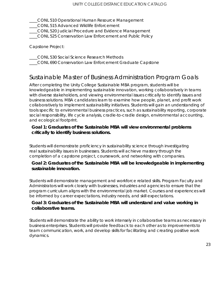\_\_\_\_CONL 510 Operational Human Resource Management

\_\_\_\_CONL 515 Advanced Wildlife Enforcement

\_\_\_\_CONL 520 Judicial Procedure and Evidence Management

\_\_\_\_CONL 525 Conservation Law Enforcement and Public Policy

Capstone Project:

\_\_\_\_CONL 530 Social Science Research Methods

\_\_\_\_CONL 690 Conservation Law Enforcement Graduate Capstone

### <span id="page-22-0"></span>Sustainable Master of Business Administration Program Goals

After completing the Unity College Sustainable MBA program, students will be knowledgeable in implementing sustainable innovation, working collaboratively in teams with diverse stakeholders, and viewing environmental issues critically to identify issues and business solutions. MBA candidates learn to examine how people, planet, and profit work collaboratively to implement sustainability initiatives. Students will gain an understanding of tools specific to environmental business practices, such as sustainability reporting, corporate social responsibility, life cycle analysis, cradle-to-cradle design, environmental accounting, and ecological footprint.

#### **Goal 1: Graduates of the Sustainable MBA will view environmental problems critically to identify business solutions.**

Students will demonstrate proficiency in sustainability science through investigating real sustainability issues in businesses. Students will achieve mastery through the completion of a capstone project, coursework, and networking with companies.

#### **Goal 2: Graduates of the Sustainable MBA will be knowledgeable in implementing sustainable innovation.**

Students will demonstrate management and workforce related skills. Program Faculty and Administrators will work closely with businesses, industries and agencies to ensure that the program curriculum aligns with the environmental job market. Courses and experiences will be informed by career expectations, industry needs, and skill expectations.

#### **Goal 3: Graduates of the Sustainable MBA will understand and value working in collaborative teams.**

Students will demonstrate the ability to work intensely in collaborative teams as necessary in business enterprises. Students will provide feedback to each other as to improvements to team communication, work, and develop skills for facilitating and creating positive work dynamics.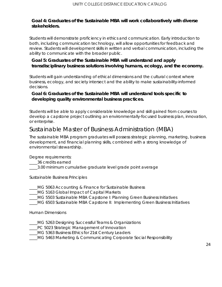#### **Goal 4: Graduates of the Sustainable MBA will work collaboratively with diverse stakeholders.**

Students will demonstrate proficiency in ethics and communication. Early introduction to both, including communication technology, will allow opportunities for feedback and review. Students will development skills in written and verbal communication, including the ability to communicate with the broader public.

#### **Goal 5: Graduates of the Sustainable MBA will understand and apply transdisciplinary business solutions involving humans, ecology, and the economy.**

Students will gain understanding of ethical dimensions and the cultural context where business, ecology, and society intersect and the ability to make sustainability-informed decisions.

#### **Goal 6: Graduates of the Sustainable MBA will understand tools specific to developing quality environmental business practices.**

Students will be able to apply considerable knowledge and skill gained from courses to develop a capstone project outlining an environmentally-focused business plan, innovation, or enterprise.

### <span id="page-23-0"></span>Sustainable Master of Business Administration (MBA)

The sustainable MBA program graduates will possess strategic planning, marketing, business development, and financial planning skills, combined with a strong knowledge of environmental stewardship.

Degree requirements:

- \_\_\_\_36 credits earned
- \_\_\_\_3.00 minimum cumulative graduate level grade point average

Sustainable Business Principles

- \_\_\_\_MG 5063 Accounting & Finance for Sustainable Business
- \_\_\_\_MG 5163 Global Impact of Capital Markets
- \_\_\_\_MG 5503 Sustainable MBA Capstone I: Planning Green Business Initiatives
- \_\_\_\_MG 6503 Sustainable MBA Capstone II: Implementing Green Business Initiatives

Human Dimensions

- \_\_\_\_MG 5263 Designing Successful Teams & Organizations
- **PC 5023 Strategic Management of Innovation**
- \_\_\_\_MG 5363 Business Ethics for 21st Century Leaders
- \_\_\_\_MG 5463 Marketing & Communicating Corporate Social Responsibility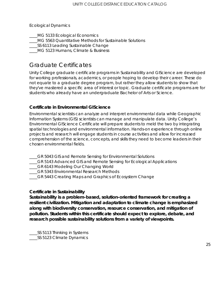Ecological Dynamics

MG 5133 Ecological Economics MG 5563 Quantitative Methods for Sustainable Solutions \_\_\_\_SS 6113 Leading Sustainable Change \_\_\_\_MG 5123 Humans, Climate & Business

### <span id="page-24-0"></span>Graduate Certificates

Unity College graduate certificate programs in Sustainability and GIScience are developed for working professionals, academics, or people hoping to develop their career. These do not equate to a graduate degree program, but rather they allow students to show that they've mastered a specific area of interest or topic. Graduate certificate programs are for students who already have an undergraduate Bachelor of Arts or Science.

#### **Certificate in Environmental GIScience**

Environmental scientists can analyze and interpret environmental data while Geographic Information Systems (GIS) scientists can manage and manipulate data. Unity College's Environmental GIScience Certificate will prepare students to meld the two by integrating spatial technologies and environmental information. Hands-on experience through online projects and research will engage students in course activities and allow for increased comprehension of the science, concepts, and skills they need to become leaders in their chosen environmental fields.

- GR 5043 GIS and Remote Sensing for Environmental Solutions
- \_\_\_\_GR 5143 Advanced GIS and Remote Sensing for Ecological Applications
- \_\_\_\_GR 6143 Modeling Our Changing World
- \_\_\_\_GR 5343 Environmental Research Methods
- \_\_\_\_GR 5443 Creating Maps and Graphics of Ecosystem Change

#### **Certificate in Sustainability**

**Sustainability is a problem-based, solution-oriented framework for creating a resilient civilization. Mitigation and adaptation to climate change is emphasized along with biodiversity conservation, resource conservation, and mitigation of pollution. Students within this certificate should expect to explore, debate, and research possible sustainability solutions from a variety of viewpoints.**

\_\_\_\_SS 5113 Thinking in Systems \_\_\_\_SS 5123 Climate Dynamics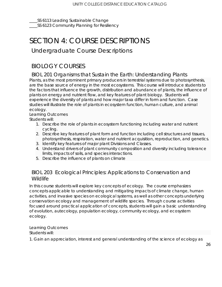\_\_\_\_SS 6113 Leading Sustainable Change \_\_\_\_SS 6123 Community Planning for Resiliency

## <span id="page-25-0"></span>SECTION 4: COURSE DESCRIPTIONS

### <span id="page-25-1"></span>Undergraduate Course Descriptions

### <span id="page-25-2"></span>BIOLOGY COURSES

<span id="page-25-3"></span>BIOL 201 Organisms that Sustain the Earth: Understanding Plants

Plants, as the most prominent primary producers in terrestrial systems due to photosynthesis, are the base source of energy in the most ecosystems. This course will introduce students to the factors that influence the growth, distribution and abundance of plants, the influence of plants on energy and nutrient flow, and key features of plant biology. Students will experience the diversity of plants and how major taxa differ in form and function. Case studies will illustrate the role of plants in ecosystem function, human culture, and animal ecology.

## Learning Outcomes

Students will:

- 1. Describe the role of plants in ecosystem functioning including water and nutrient cycling.
- 2. Describe key features of plant form and function including cell structures and tissues, photosynthesis, respiration, water and nutrient acquisition, reproduction, and genetics.
- 3. Identify key features of major plant Divisions and Classes.
- 4. Understand drivers of plant community composition and diversity including tolerance limits, impacts of soils, and species interactions.
- 5. Describe the influence of plants on climate

#### <span id="page-25-4"></span>BIOL 203 Ecological Principles: Applications to Conservation and **Wildlife**

In this course students will explore key concepts of ecology. The course emphasizes concepts applicable to understanding and mitigating impacts of climate change, human activities, and invasive species on ecological systems, as well as other concepts underlying conservation ecology and management of wildlife species. Through course activities focused around practical application of concepts, students will gain a basic understanding of evolution, autecology, population ecology, community ecology, and ecosystem ecology.

Learning Outcomes Students will:

1. Gain an appreciation, interest and general understanding of the science of ecology as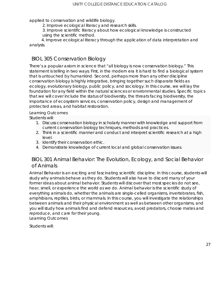applied to conservation and wildlife biology.

2. Improve ecological literacy and research skills.

3. Improve scientific literacy about how ecological knowledge is constructed using the scientific method.

 4. Improve ecological literacy through the application of data interpretation and analysis.

#### <span id="page-26-0"></span>BIOL 305 Conservation Biology

There's a popular axiom in science that "all biology is now conservation biology." This statement is telling in two ways: First, in the modern era it is hard to find a biological system that is untouched by humankind. Second, perhaps more than any other discipline conservation biology is highly integrative, bringing together such disparate fields as ecology, evolutionary biology, public policy, and sociology. In this course, we will lay the foundation for any field within the natural sciences or environmental studies. Specific topics that we will cover include the status of biodiversity, the threats facing biodiversity, the importance of ecosystem services, conservation policy, design and management of protected areas, and habitat restoration.

#### Learning Outcomes

Students will:

- 1. Discuss conservation biology in scholarly manner with knowledge and support from current conservation biology techniques, methods and practices.
- 2. Think in a scientific manner and conduct and interpret scientific research at a high level.
- 3. Identify their conservation ethic.
- 4. Demonstrate knowledge of current local and global conservation issues.

#### <span id="page-26-1"></span>BIOL 301 Animal Behavior: The Evolution, Ecology, and Social Behavior of Animals

Animal Behavior is an exciting and fascinating scientific discipline. In this course, students will study why animals behave as they do. Students will also have to discard many of your former ideas about animal behavior. Students will discover that most species do not see, hear, smell, or experience the world as we do. Animal behavior is the scientific study of everything animals do, whether the animals are single-celled organisms, invertebrates, fish, amphibians, reptiles, birds, or mammals. In this course, you will investigate the relationships between animals and their physical environment as well as between other organisms, and you will study how animals find and defend resources, avoid predators, choose mates and reproduce, and care for their young.

Learning Outcomes

Students will: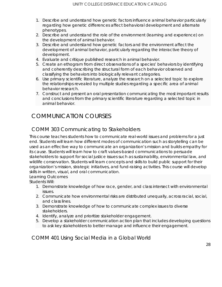- 1. Describe and understand how genetic factors influence animal behavior particularly regarding how genetic differences affect behavioral development and alternate phenotypes.
- 2. Describe and understand the role of the environment (learning and experience) on the development of animal behavior.
- 3. Describe and understand how genetic factors and the environment affect the development of animal behavior, particularly regarding the interactive theory of development.
- 4. Evaluate and critique published research in animal behavior.
- 5. Create an ethogram from direct observations of a species' behaviors by identifying and coherently describing the structural form of each behavior observed and classifying the behaviors into biologically relevant categories.
- 6. Use primary scientific literature, analyze the research on a selected topic to explore the relationships revealed by multiple studies regarding a specific area of animal behavior research.
- 7. Construct and present an oral presentation communicating the most important results and conclusions from the primary scientific literature regarding a selected topic in animal behavior.

### <span id="page-27-0"></span>COMMUNICATION COURSES

### <span id="page-27-1"></span>COMM 303 Communicating to Stakeholders

This course teaches students how to communicate real-world issues and problems for a just end. Students will learn how different modes of communication such as storytelling can be used as an effective way to communicate an organization's mission and builds empathy for its cause. Students will learn how to craft values-based communications to persuade stakeholders to support for social justice issues such as sustainability, environmental law, and wildlife conservation. Students will learn concepts and skills to build public support for their organization's mission, strategic initiatives, and fund-raising activities. This course will develop skills in written, visual, and oral communication.

Learning Outcomes

Students Will:

- 1. Demonstrate knowledge of how race, gender, and class intersect with environmental issues.
- 2. Communicate how environmental risks are distributed unequally, across racial, social, and class lines.
- 3. Demonstrate knowledge of how to communicate complex issues to diverse stakeholders.
- 4. Identify, analyze and prioritize stakeholder engagement.
- 5. Develop a stakeholder communication action plan that includes developing questions to ask key stakeholders to better manage and influence their engagement.

<span id="page-27-2"></span>COMM 401 Using Social Media in a Global World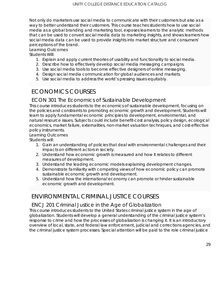Not only do marketers use social media to communicate with their customers but also as a way to better understand their customers. This course teaches students how to use social media as a global branding and marketing tool, exposes learners to the analytic methods that can be used to convert social media data to marketing insights, and shows learners how social media data can be used to provide insights into market structure and consumers' perceptions of the brand.

#### Learning Outcomes

Students Will:

- 1. Explain and apply current theories of usability and functionality to social media.
- 2. Describe how to effectively develop social media messaging campaigns.
- 3. Use social media tools to become effective designers of online messaging.
- 4. Design social media communication for global audiences and markets.
- 5. Use social media to address the world's pressing issues equitably.

### <span id="page-28-0"></span>ECONOMICS COURSES

#### <span id="page-28-1"></span>ECON 301 The Economics of Sustainable Development

This course introduces students to the economics of sustainable development, focusing on the policies and constraints to promoting economic growth and development. Students will learn to apply fundamental economic principles to development, environmental, and natural resource issues. Subjects could include benefit-cost analysis, policy design, ecological economics, market failure, externalities, non-market valuation techniques, and cost-effective policy instruments.

#### Learning Outcomes

Students will:

- 1. Gain an understanding of policies that deal with environmental challenges and their impacts on different actors in society.
- 2. Understand how economic growth is measured and how it relates to different measures of development.
- 3. Understand the leading economic models explaining development changes.
- 4. Demonstrate familiarity with competing views of how economic policy can promote sustainable economic growth and development.
- 5. Understand how the international economy can promote or hinder sustainable economic growth and development.

### <span id="page-28-2"></span>ENVIRONMENTAL CRIMINAL JUSTICE COURSES

#### <span id="page-28-3"></span>ENCJ 201 Criminal Justice in the Age of Globalization

This course introduces students to the United States criminal justice system in the age of globalization. Students will develop a general understanding of the criminal justice system's response to crime and how the processes of globalization is changing it. It is an introductory overview of local, state, and federal law enforcement, judicial and corrections agencies, and the criminal justice system processes. Special attention will be paid to the role criminal justice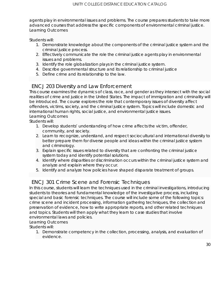agents play in environmental issues and problems. The course prepares students to take more advanced courses that address the specific components of environmental criminal justice. Learning Outcomes

Students will:

- 1. Demonstrate knowledge about the components of the criminal justice system and the criminal justice process.
- 2. Effectively communicate the role the criminal justice agents play in environmental issues and problems.
- 3. Identify the role globalization plays in the criminal justice system.
- 4. Describe governmental structure and its relationship to criminal justice
- 5. Define crime and its relationship to the law.

#### <span id="page-29-0"></span>ENCJ 203 Diversity and Law Enforcement

This course examines the dynamics of class, race, and gender as they intersect with the social realities of crime and justice in the United States. The impact of immigration and criminality will be introduced. The course explores the role that contemporary issues of diversity affect offenders, victims, society, and the criminal justice system. Topics will include domestic and international human rights, social justice, and environmental justice issues. Learning Outcomes

Students will:

- 1. Develop students' understanding of how crime affects the victim, offender, community, and society.
- 2. Learn to recognize, understand, and respect sociocultural and international diversity to better prepare them for diverse people and ideas within the criminal justice system and criminology.
- 3. Explain specific issues related to diversity that are confronting the criminal justice system today and identify potential solutions.
- 4. Identify where disparities or discrimination occurs within the criminal justice system and analyze and explain where they occur.
- 5. Identify and analyze how policies have shaped disparate treatment of groups.

#### <span id="page-29-1"></span>ENCJ 301 Crime Scene and Forensic Techniques

In this course, students will learn the techniques used in the criminal investigations, introducing students to theories and fundamental knowledge of the investigative process, including special and basic forensic techniques. The course will include some of the following topics: crime scene and incident processing, information gathering techniques, the collection and preservation of evidence, how to write appropriate reports, and other related techniques and topics. Students will then apply what they learn to case studies that involve environmental laws and policies.

Learning Outcomes

Students will:

1. Demonstrate competency in the collection, processing, analysis, and evaluation of evidence.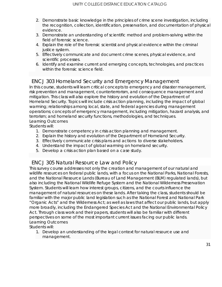- 2. Demonstrate basic knowledge in the principles of crime scene investigation, including the recognition, collection, identification, preservation, and documentation of physical evidence.
- 3. Demonstrate an understanding of scientific method and problem-solving within the field of forensic science.
- 4. Explain the role of the forensic scientist and physical evidence within the criminal justice system.
- 5. Effectively communicate and document crime scenes, physical evidence, and scientific processes.
- 6. Identify and examine current and emerging concepts, technologies, and practices within the forensic science field.

#### <span id="page-30-0"></span>ENCJ 303 Homeland Security and Emergency Management

In this course, students will learn critical concepts to emergency and disaster management, risk prevention and management, counterterrorism, and consequence management and mitigation. This class will also explore the history and evolution of the Department of Homeland Security. Topics will include crisis action planning, including the impact of global warming; relationships among local, state, and federal agencies during management operations; concepts of emergency management, including mitigation, hazard analysis, and terrorism; and homeland security functions, methodologies, and techniques. Learning Outcomes

Students will:

- 1. Demonstrate competency in crisis action planning and management.
- 2. Explain the history and evolution of the Department of Homeland Security.
- 3. Effectively communicate crisis plans and actions to diverse stakeholders.
- 4. Understand the impact of global warming on homeland security.
- 5. Develop a crisis action plan based on a case study.

#### <span id="page-30-1"></span>ENCJ 305 Natural Resource Law and Policy

This survey course addresses not only the creation and management of our natural and wildlife resources on federal public lands, with a focus on the National Parks, National Forests, and the National Resource Lands (Bureau of Land Management (BLM) regulated lands), but also including the National Wildlife Refuge System and the National Wilderness Preservation System. Students will learn how interest groups, citizens, and the courts influence the management of natural resources on these lands. After taking the class, students should be familiar with the major public land legislation such as the National Forest and National Park "Organic Acts" and the Wilderness Act; as well as laws that affect our public lands, but apply more broadly, including the Endangered Species Act and the National Environmental Policy Act. Through class work and their papers, students will also be familiar with different perspectives on some of the most important current issues facing our public lands. Learning Outcomes

Students will:

1. Develop an understanding of the legal context for natural resource use and management.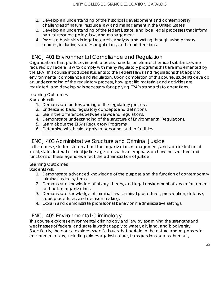- 2. Develop an understanding of the historical development and contemporary challenges of natural resource law and management in the United States.
- 3. Develop an understanding of the federal, state, and local legal processes that inform natural resource policy, law, and management.
- 4. Practice basic skills in legal research, analysis, and writing through using primary sources, including statutes, regulations, and court decisions.

#### <span id="page-31-0"></span>ENCJ 401 Environmental Compliance and Regulation

Organizations that produce, import, process, handle, or release chemical substances are required by Federal law to comply with many regulatory programs that are implemented by the EPA. This course introduces students to the Federal laws and regulations that apply to environmental compliance and regulation. Upon completion of this course, students develop an understanding of the regulatory process, how specific materials and activities are regulated, and develop skills necessary for applying EPA's standards to operations.

#### Learning Outcomes

Students will:

- 1. Demonstrate understanding of the regulatory process.
- 2. Understand basic regulatory concepts and definitions.
- 3. Learn the differences between laws and regulations.
- 4. Demonstrate understanding of the structure of Environmental Regulations.
- 5. Learn about the EPA's Regulatory Programs.
- 6. Determine which rules apply to personnel and to facilities.

#### <span id="page-31-1"></span>ENCJ 403 Administrative Structure and Criminal Justice

In this course, students learn about the organization, management, and administration of local, state, federal criminal justice agencies with an emphasis on how the structure and functions of these agencies affect the administration of justice.

#### Learning Outcomes

Students will:

- 1. Demonstrate advanced knowledge of the purpose and the function of contemporary criminal justice systems.
- 2. Demonstrate knowledge of history, theory, and legal environment of law enforcement and police organizations.
- 3. Demonstrate knowledge of criminal law, criminal procedures, prosecution, defense, court procedures, and decision-making.
- 4. Explain and demonstrate professional behavior in administrative settings.

#### <span id="page-31-2"></span>ENCJ 405 Environmental Criminology

This course explores environmental criminology and law by examining the strengths and weaknesses of federal and state laws that apply to water, air, land, and biodiversity. Specifically, the course explores specific issues that pertain to the nature and responses to environmental law, including crimes against nature, transgressions against humans,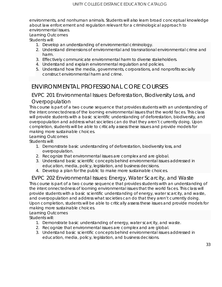environments, and nonhuman animals. Students will also learn broad conceptual knowledge about law enforcement and regulation relevant for a criminological approach to environmental issues.

Learning Outcomes

Students will:

- 1. Develop an understanding of environmental criminology.
- 2. Understand dimensions of environmental and transnational environmental crime and harm.
- 3. Effectively communicate environmental harm to diverse stakeholders.
- 4. Understand and explain environmental regulation and policies.
- 5. Understand how the media, governments, corporations, and nonprofits socially construct environmental harm and crime.

### <span id="page-32-0"></span>ENVIRONMENTAL PROFESSIONAL CORE COURSES

#### <span id="page-32-1"></span>EVPC 201 Environmental Issues: Deforestation, Biodiversity Loss, and Overpopulation

This course is part of a two course sequence that provides students with an understanding of the interconnectedness of the looming environmental issues that the world faces. This class will provide students with a basic scientific understanding of deforestation, biodiversity, and overpopulation and address what societies can do that they aren't currently doing. Upon completion, students will be able to critically assess these issues and provide models for making more sustainable choices.

Learning Outcomes

Students will:

- 1. Demonstrate basic understanding of deforestation, biodiversity loss, and overpopulation.
- 2. Recognize that environmental issues are complex and are global.
- 3. Understand basic scientific concepts behind environmental issues addressed in education, media, policy, legislation, and business decisions.
- 4. Develop a plan for the public to make more sustainable choices.

#### <span id="page-32-2"></span>EVPC 202 Environmental Issues: Energy, Water Scarcity, and Waste

This course is part of a two course sequence that provides students with an understanding of the interconnectedness of looming environmental issues that the world faces. This class will provide students with a basic scientific understanding of energy, water scarcity, and waste, and overpopulation and address what societies can do that they aren't currently doing. Upon completion, students will be able to critically assess these issues and provide models for making more sustainable choices.

#### Learning Outcomes

Students will:

- 1. Demonstrate basic understanding of energy, water scarcity, and waste.
- 2. Recognize that environmental issues are complex and are global.
- 3. Understand basic scientific concepts behind environmental issues addressed in education, media, policy, legislation, and business decisions.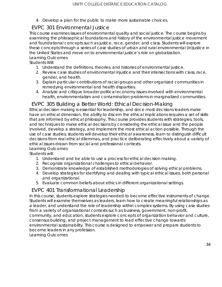4. Develop a plan for the public to make more sustainable choices.

### <span id="page-33-0"></span>EVPC 301 Environmental Justice

This course examines issues of environmental quality and social justice. The course begins by examining the philosophical foundations and history of the environmental justice movement and foundational concepts such as justice, race, gender, and class. Students will explore these concepts through a series of case studies of urban and rural environmental (in)justice in the United States and move on to environmental justice's role on globalization. Learning Outcomes

Students Will:

- 1. Understand the definitions, theories, and histories of environmental justice.
- 2. Review case studies of environmental injustice and their intersections with class, race, gender, and health.
- 3. Explain particular contributions of racial groups and other organized communities in remedying environmental and health disparities.
- 4. Analyze and critique broader political economy issues involved with environmental health, environmentalism and contamination problems in marginalized communities.

#### <span id="page-33-1"></span>EVPC 305 Building a Better World: Ethical Decision-Making

Ethical decision making is essential for leadership, and since most decisions leaders make have an ethical dimension, the ability to discern the ethical implications requires a set of skills that are informed by ethical philosophy. This course provides students with strategies, tools, and techniques to make ethical decisions by considering the ethical issue and the people involved, develop a strategy, and implement the most ethical action possible. Through the use of case studies, students will develop their ethical awareness, learn to distinguish difficult decisions from real ethical dilemmas, and practice deliberating effectively about a variety of ethical issues drawn from social and professional contexts.

Learning Outcomes

Students will:

- 1. Understand and be able to use a process for ethical decision making.
- 2. Recognize organizational challenges to ethical behavior.
- 3. Demonstrate knowledge of established methodologies of solving ethical problems.
- 4. Develop strategies for identifying and dealing with typical ethical issues, both personal and organizational.
- 5. Evaluate common beliefs about ethics in different organizational settings.

#### <span id="page-33-2"></span>EVPC 401 Transformational Leadership

In this course, students explore strategies needed to become effective instruments of change. Students will examine themselves as leaders, learn how to create meaningful relationships as a leader, and understand the role of leadership within complex systems. By using case studies from a variety of organizational contexts such as business, government, non-profit, community, and education, students explore concepts of organization behavior and culture, consensus building, and project management to lead effective change towards environmental sustainability. This course is designed to empower and prepare students to become leaders in any profession.

Learning Outcomes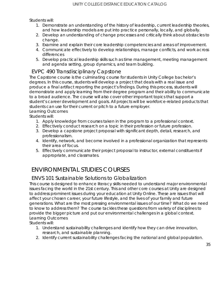Students will:

- 1. Demonstrate an understanding of the history of leadership, current leadership theories, and how leadership models are put into practice personally, locally, and globally.
- 2. Develop an understanding of change processes and critically think about obstacles to change.
- 3. Examine and explain their core leadership competencies and areas of improvement.
- 4. Communicate effectively to develop relationships, manage conflicts, and work across differences
- 5. Develop practical leadership skills such as time management, meeting management and agenda setting, group dynamics, and team building.

#### <span id="page-34-0"></span>EVPC 490 Transdisciplinary Capstone

The Capstone course is the culminating course for students in Unity College bachelor's degrees. In this course, students will develop a project that deals with a real issue and produce a final artifact reporting the project's findings. During this process, students will demonstrate and apply learning from their degree program and their ability to communicate to a broad audience. The course will also cover other important topics that support a student's career development and goals. All projects will be workforce-related products that students can use for their current or pitch to a future employer.

Learning Outcomes

- Students will:
	- 1. Apply knowledge from courses taken in the program to a professional context.
	- 2. Effectively conduct research on a topic in their profession or future profession.
	- 3. Develop a capstone project proposal with significant depth, detail, research, and professionalism.
	- 4. Identify, network, and become involved in a professional organization that represents their area of focus.
	- 5. Effectively communicate their project proposal to instructor, external constituents if appropriate, and classmates.

### <span id="page-34-1"></span>ENVIRONMENTAL STUDIES COURSES

#### <span id="page-34-2"></span>ENVS 101 Sustainable Solutions to Globalization

This course is designed to enhance literacy skills needed to understand major environmental issues facing the world in the 21st century. This and other core courses at Unity are designed to address prominent issues during your education at Unity Online. These are issues that will affect your chosen career, your future lifestyle, and the lives of your family and future generations. What are the most pressing environmental issues of our time? What do we need to know to address them? The course tackles these questions from variety of disciplines to provide the bigger picture and put our environmental challenges in a global context. Learning Outcomes

Students will:

- 1. Understand sustainability challenges and identify how they can drive innovation, research, and sustainable planning.
- 2. Identify current sustainability challenges facing the national and global population.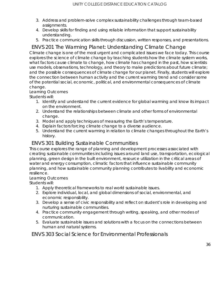- 3. Address and problem-solve complex sustainability challenges through team-based assignments.
- 4. Develop skills for finding and using reliable information that support sustainability understanding.
- 5. Practice communication skills through discussion, written responses, and presentations.

### <span id="page-35-0"></span>ENVS 201 The Warming Planet: Understanding Climate Change

Climate change is one of the most urgent and complicated issues we face today. This course explores the science of climate change by teaching students how the climate system works, what factors cause climate to change, how climate has changed in the past, how scientists use models, observations, technology, and theory to make predictions about future climate; and the possible consequences of climate change for our planet. Finally, students will explore the connection between human activity and the current warming trend and consider some of the potential social, economic, political, and environmental consequences of climate change.

#### Learning Outcomes

Students will:

- 1. Identify and understand the current evidence for global warming and know its impact on the environment.
- 2. Understand the relationships between climate and other forms of environmental change.
- 3. Model and apply techniques of measuring the Earth's temperature.
- 4. Explain factors forcing climate change to a diverse audience.
- 5. Understand the current warming in relation to climate changes throughout the Earth's history.

#### <span id="page-35-1"></span>ENVS 301 Building Sustainable Communities

This course explores the range of planning and development processes associated with creating sustainable communities including issues around land use, transportation, ecological planning, green design in the built environment, resource utilization in the critical areas of water and energy consumption, climatic factors that influence sustainable community planning, and how sustainable community planning contributes to livability and economic resilience.

#### Learning Outcomes

Students will:

- 1. Apply theoretical frameworks to real world sustainable issues.
- 2. Explore individual, local, and global dimensions of social, environmental, and economic responsibility.
- 3. Develop a sense of civic responsibility and reflect on student's role in developing and nurturing sustainable communities.
- 4. Practice community engagement through writing, speaking, and other modes of communication.
- 5. Evaluate sustainable issues and solutions with a focus on the connections between human and natural systems.

<span id="page-35-2"></span>ENVS 303 Social Science for Environmental Professionals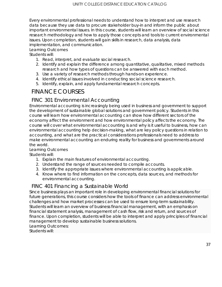Every environmental professional needs to understand how to interpret and use research data because they use data to procure stakeholder buy-in and inform the public about important environmental issues. In this course, students will learn an overview of social science research methodology and how to apply those concepts and tools to current environmental issues. Upon completion, students will gain skills in research, data analysis, data implementation, and communication.

#### Learning Outcomes

Students will:

- 1. Read, interpret, and evaluate social research.
- 2. Identify and explain the difference among quantitative, qualitative, mixed methods research and how types of questions can be answered with each method.
- 3. Use a variety of research methods through hands-on experience.
- 4. Identify ethical issues involved in conducting social science research.
- 5. Identify, explain, and apply fundamental research concepts.

# FINANCE COURSES

#### FINC 301 Environmental Accounting

Environmental accounting is increasingly being used in business and government to support the development of sustainable global solutions and government policy. Students in this course will learn how environmental accounting can show how different sectors of the economy affect the environment and how environmental policy affects the economy. The course will cover what environmental accounting is and why is it useful to business, how can environmental accounting help decision-making, what are key policy questions in relation to accounting, and what are the practical considerations professionals need to address to make environmental accounting an enduring reality for business and governments around the world.

#### Learning Outcomes

Students will:

- 1. Explain the main features of environmental accounting.
- 2. Understand the range of sources needed to compile accounts.
- 3. Identify the appropriate issues where environmental accounting is applicable.
- 4. Know where to find information on the concepts, data sources, and methods for environmental accounting.

#### FINC 401 Financing a Sustainable World

Since business plays an important role in developing environmental financial solutions for future generations, this course considers how the tools of finance can address environmental challenges and how market processes can be used to ensure long-term sustainability. Students will learn an overview of business financial management, with an emphasis on financial statement analysis, management of cash flow, risk and return, and sources of finance. Upon completion, students will be able to interpret and apply principles of financial management to develop sustainable business solutions. Learning Outcomes:

Students will: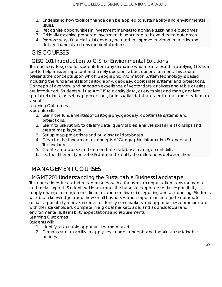- 1. Understand how tools of finance can be applied to sustainability and environmental issues.
- 2. Recognize opportunities in investment markets to achieve sustainable outcomes.
- 3. Critically examine proposed investment blueprints to achieve desired outcomes.
- 4. Propose ways financial solutions may be used to improve environmental risks and deliver financial and environmental returns.

# GIS COURSES

#### GISC 101 Introduction to GIS for Environmental Solutions

This course is designed for students from any discipline who are interested in applying GIS as a tool to help answer important and timely questions about our environment. This course presents the concepts upon which Geographic Information System technology is based including the fundamentals of cartography, geodesy, coordinate systems, and projections. Conceptual overview and hands-on experience of vector data analyses and table queries are introduced. Students will use ArcGIS to classify data, query tables and maps, analyze spatial relationships, set map projections, build spatial databases, edit data, and create map layouts.

#### Learning Outcomes

Students will:

- 1. Learn the fundamentals of cartography, geodesy, coordinate systems, and projections.
- 2. Learn to use ArcGIS to classify data, query tables, analyze spatial relationships and create map layouts.
- 3. Set up map projections and build spatial databases.
- 4. Describe the fundamental concepts of Geographic Information Science and Technology.
- 5. Create a database and demonstrate database management skills.
- 6. List the different types of GIS data and identify the differences between them.

# MANAGEMENT COURSES

#### MGMT 201 Understanding the Sustainable Business Landscape

This course introduces students to business with a focus on an organization's environmental and social impact. Students will learn about the basics in corporate social responsibility, supply-change management, finance, and non-financial reporting and accounting. Students will obtain knowledge about how small businesses and corporations integrate corporate social responsibility models in order to identify new markets and opportunities, communicate with their stakeholders, compete in a global marketplace, and address social and environmental sustainability expectations and requirements.

Learning Outcomes

Students will:

- 1. Identify sustainable opportunities and markets.
- 2. Demonstrate an ability to apply key course concepts and theories to sustainable business.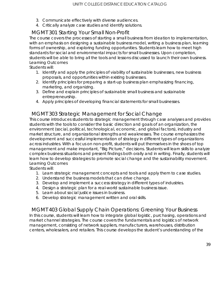- 3. Communicate effectively with diverse audiences.
- 4. Critically analyze case studies and identify solutions.

### MGMT 301 Starting Your Small Non-Profit

The course covers the processes of starting a small business from ideation to implementation, with an emphasis on designing a sustainable business model, writing a business plan, learning forms of ownership, and exploring funding opportunities. Students learn how to meet high standards for social and environmental impacts for small businesses. Upon completion, students will be able to bring all the tools and lessons discussed to launch their own business. Learning Outcomes

Students will:

- 1. Identify and apply the principles of viability of sustainable businesses, new business proposals, and opportunities within existing businesses.
- 2. Identify principles for preparing a start-up business plan emphasizing financing, marketing, and organizing.
- 3. Define and explain principles of sustainable small business and sustainable entrepreneurship.
- 4. Apply principles of developing financial statements for small businesses.

### MGMT 303 Strategic Management for Social Change

This course introduces students to strategic management through case analyses and provides students with the tools to consider the basic direction and goals of an organization, the environment (social, political, technological, economic, and global factors), industry and market structure, and organizational strengths and weaknesses. The course emphasizes the development and successful implementation of strategy in different types of organizations across industries. With a focus on non-profit, students will put themselves in the shoes of top management and make important, "Big Picture," decisions. Students will learn skills to analyze complex business situations and present findings both orally and in writing. Finally, students will learn how to develop strategies to promote social change and the sustainability movement. Learning Outcomes

Students will:

- 1. Learn strategic management concepts and tools and apply them to case studies.
- 2. Understand the business models that can drive change.
- 3. Develop and implement a success strategy in different types of industries.
- 4. Design a strategic plan for a real-world sustainable business issue.
- 5. Learn about social justice issues in business.
- 6. Develop strategic management written and oral skills.

MGMT 403 Global Supply Chain Operations: Greening Your Business In this course, students will learn how to integrate global logistic, purchasing, operations and market channel strategies. The course covers the fundamentals and logistics of network management, consisting of network suppliers, manufacturers, warehouses, distribution centers, wholesalers, and retailers. This course develops the student's understanding of the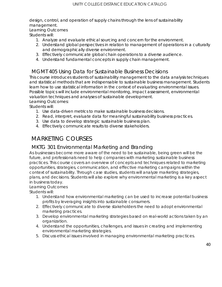design, control, and operation of supply chains through the lens of sustainability management.

#### Learning Outcomes

Students will:

- 1. Analyze and evaluate ethical sourcing and concern for the environment.
- 2. Understand global perspectives in relation to management of operations in a culturally and demographically diverse environment.
- 3. Effectively communicate global chain operations to a diverse audience.
- 4. Understand fundamental concepts in supply chain management.

### MGMT 405 Using Data for Sustainable Business Decisions

This course introduces students of sustainability management to the data analysis techniques and statistical methods that are indispensable to sustainable business management. Students learn how to use statistical information in the context of evaluating environmental issues. Possible topics will include environmental monitoring, impact assessment, environmental valuation techniques and analyses of sustainable development. Learning Outcomes:

Students will:

- 1. Use data-driven metrics to make sustainable business decisions.
- 2. Read, interpret, evaluate data for meaningful sustainability business practices.
- 3. Use data to develop strategic sustainable business plan.
- 4. Effectively communicate results to diverse stakeholders.

# MARKETING COURSES

### MKTG 301 Environmental Marketing and Branding

As businesses become more aware of the need to be sustainable, being green will be the future, and professionals need to help companies with marketing sustainable business practices. This course covers an overview of concepts and techniques related to marketing opportunities, strategies, communication, and effective marketing campaigns within the context of sustainability. Through case studies, students will analyze marketing strategies, plans, and decisions. Students will also explore why environmental marketing is a key aspect in business today.

#### Learning Outcomes

Students will:

- 1. Understand how environmental marketing can be used to increase potential business profits by leveraging insights into sustainable consumers.
- 2. Effectively communicate to diverse stakeholders the need to adopt environmental marketing practices.
- 3. Develop environmental marketing strategies based on real-world actions taken by an organization.
- 4. Understand the opportunities, challenges, and issues in creating and implementing environmental marketing strategies.
- 5. Discuss ethical issues involved in managing environmental marketing practices.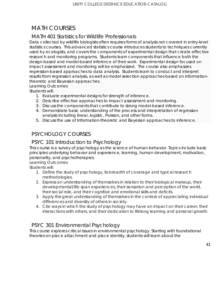# MATH COURSES

### MATH 401 Statistics for Wildlife Professionals

Data collected by wildlife biologists often requires forms of analysis not covered in entry-level statistics courses. This advanced statistics course introduces students to techniques currently used by ecologists, and covers the components of experimental design that create effective research and monitoring programs. Students learn components that influence both the design-based and model-based inference of their work. Experimental design focused on impact assessment and monitoring will be emphasized. The course also emphasizes regression-based approaches to data analysis. Students learn to conduct and interpret results from regression analysis, as well as model selection approaches based on informationtheoretic and Bayesian approaches.

Learning Outcomes

Students will:

- 1. Evaluate experimental designs for strength of inference.
- 2. Describe effective approaches to impact assessment and monitoring.
- 3. Discuss the components that contribute to strong model-based inference.
- 4. Demonstrate basic understanding of the process and interpretation of regression analysis including linear, logistic, Poisson, and other forms.
- 5. Discuss the use of Information-theoretic and Bayesian approaches to inference.

### PSYCHOLOGY COURSES

#### PSYC 101 Introduction to Psychology

This course is a survey of psychology as the science of human behavior. Topics include basic principles underlying behavior and experience, learning, human development, motivation, personality, and psychotherapies.

Learning Outcomes

Students will:

- 1. Define the study of psychology, its breadth of coverage and typical research methodologies.
- 2. Express an understanding of themselves in relation to their biological makeup, their developmental/life span experiences, their sensation and perception of the world, their social role, and their cognitive and emotional skills and deficits.
- 3. Apply this great understanding of themselves in the context of appreciating individual differences and diversity of others in society.
- 4. Cite ways in which the study of psychology may have an impact on their career, their interactions with others, and their dedication to lifelong learning and personal growth.

### PSYC 301 Environmental Psychology

This course explores critical issues in environmental psychology. Starting with foundational theories on place attachment and place identity, students will learn about the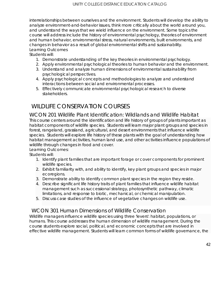interrelationships between ourselves and the environment. Students will develop the ability to analyze environment-and-behavior issues, think more critically about the world around you, and understand the ways that we wield influence on the environment. Some topics the course will address include the history of environmental psychology, theories of environment and human behavior, environmental stress, natural environments, built environments, and changes in behavior as a result of global environmental shifts and sustainability. Learning Outcomes

Students will:

- 1. Demonstrate understanding of the key theories in environmental psychology.
- 2. Apply environmental psychological theories to human behavior and the environment.
- 3. Understand and analyze human dimensions of environmental sustainability from psychological perspectives.
- 4. Apply psychological concepts and methodologies to analyze and understand interactions between social and environmental processes.
- 5. Effectively communicate environmental psychological research to diverse stakeholders.

# WILDLIFE CONSERVATION COURSES

WCON 201 Wildlife Plant Identification: Wildlands and Wildlife Habitat This course centers around the identification and life history of groups of plants important as habitat components of wildlife species. Students will learn major plant groups and species in forest, rangeland, grassland, agricultural, and desert environments that influence wildlife species. Students will explore life history of these plants with the goal of understanding how habitat management activities, human land use, and other activities influence populations of wildlife through changes in food and cover.

Learning Outcomes:

Students will:

- 1. Identify plant families that are important forage or cover components for prominent wildlife species.
- 2. Exhibit familiarity with, and ability to identify, key plant groups and species in major ecoregions.
- 3. Demonstrate ability to identify common plant species in the region they reside.
- 4. Describe significant life history traits of plant families that influence wildlife habitat management such as successional strategy, photosynthetic pathway, climatic limitations, and response to biotic, mechanical, or chemical manipulation.
- 5. Discuss case studies of the influence of vegetative changes on wildlife use.

### WCON 301 Human Dimensions of Wildlife Conservation

Wildlife managers influence wildlife species using three 'levers': habitat, populations, or humans. This course addresses the human dimension of wildlife management. During the course students explore social, political, and economic concepts that are involved in effective wildlife management. Students will learn common forms of wildlife governance, the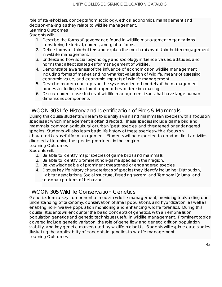role of stakeholders, concepts from sociology, ethics, economics, management and decision-making as they relate to wildlife management. Learning Outcomes

Students will:

- 1. Describe the forms of governance found in wildlife management organizations, considering historical, current, and global forms.
- 2. Define forms of stakeholders and explain the mechanisms of stakeholder engagement in wildlife management.
- 3. Understand how social psychology and sociology influence values, attitudes, and norms that affect strategies for management of wildlife.
- 4. Demonstrate awareness of the influence of economics on wildlife management including forms of market and non-market valuation of wildlife, means of assessing economic value, and economic impacts of wildlife management.
- 5. Describe modern concepts on the systems-oriented models of the management process including structured approaches to decision-making.
- 6. Discuss current case studies of wildlife management issues that have large human dimensions components.

#### WCON 303 Life History and Identification of Birds & Mammals

During this course students will learn to identify avian and mammalian species with a focus on species at which management is often directed. These species include game bird and mammals, common agricultural or urban 'pest' species, and threatened or endangered species. Students will also learn basic life history of these species with a focus on characteristics useful for management. Students will be expected to conduct field activities directed at learning the species prominent in their region.

#### Learning Outcomes

Students will:

- 1. Be able to identify major species of game birds and mammals.
- 2. Be able to identify prominent non-game species in their region.
- 3. Be knowledgeable of prominent threatened or endangered species.
- 4. Discuss key life history characteristics of species they identify including: Distribution, Habitat associations, Social structure, Breeding system, and Temporal (diurnal and seasonal) patterns of behavior.

#### WCON 305 Wildlife Conservation Genetics

Genetics form a key component of modern wildlife management, providing tools aiding our understanding of taxonomy, conservation of small populations, and hybridization, as well as enabling non-invasive population monitoring and enhancing wildlife forensics. During this course, students will encounter the basic concepts of genetics, with an emphasis on population genetics and genetic techniques useful in wildlife management. Prominent topics covered include genetic variation, the role of gene flow and genetic drift on population viability, and key genetic markers used by wildlife biologists. Students will explore case studies illustrating the applicability of concepts in genetics to wildlife management. Learning Outcomes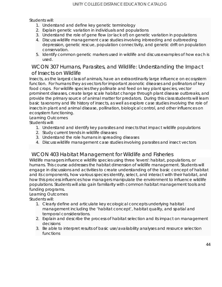Students will:

- 1. Understand and define key genetic terminology
- 2. Explain genetic variation in individuals and populations
- 3. Understand the role of gene flow (or lack of) on genetic variation in populations
- 4. Discuss wildlife management case studies involving inbreeding and outbreeding depression, genetic rescue, population connectivity, and genetic drift on population conservation.
- 5. Identify common genetic markers used in wildlife and discuss examples of how each is used.

#### WCON 307 Humans, Parasites, and Wildlife: Understanding the Impact of Insects on Wildlife

Insects, as the largest class of animals, have an extraordinarily large influence on ecosystem function. For humans they as vectors for important zoonotic diseases and pollinators of key food crops. For wildlife species they pollinate and feed on key plant species, vector prominent diseases, create large scale habitat change through plant disease outbreaks, and provide the primary source of animal matter for predators. During this class students will learn basic taxonomy and life history of insects, as well as explore case studies involving the role of insects in plant and animal disease, pollination, biological control, and other influences on ecosystem functioning.

#### Learning Outcomes

Students will:

- 1. Understand and identify key parasites and insects that impact wildlife populations
- 2. Study current trends in wildlife diseases
- 3. Understand the role humans in spreading diseases
- 4. Discuss wildlife management case studies involving parasites and insect vectors

#### WCON 403 Habitat Management for Wildlife and Fisheries

Wildlife managers influence wildlife species using three 'levers': habitat, populations, or humans. This course addresses the habitat dimension of wildlife management. Students will engage in discussions and activities to create understanding of the basic concept of habitat and its components, how various species identify, select, and interact with their habitat, and how this process influences how managers manipulate the environment to influence wildlife populations. Students will also gain familiarity with common habitat management tools and funding programs.

#### Learning Outcomes

Students will:

- 1. Clearly define and articulate key ecological concepts underlying habitat management including the 'habitat concept', habitat quality, and spatial and temporal considerations.
- 2. Explain and describe the process of habitat selection and its impact on management decisions
- 3. Be able to interpret results of basic use/availability analyses and resource selection functions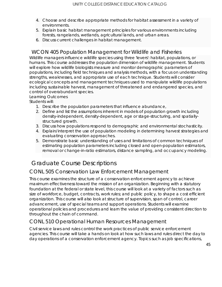- 4. Choose and describe appropriate methods for habitat assessment in a variety of environments.
- 5. Explain basic habitat management principles for various environments including forests, rangelands, wetlands, agricultural lands, and urban areas.
- 6. Discuss current challenges in habitat management.

#### WCON 405 Population Management for Wildlife and Fisheries

Wildlife managers influence wildlife species using three 'levers': habitat, populations, or humans. This course addresses the population dimension of wildlife management. Students will explore how wildlife biologists measure and monitor demographic parameters of populations, including field techniques and analysis methods, with a focus on understanding strengths, weaknesses, and appropriate use of each technique. Students will consider ecological concepts and management techniques used to manipulate wildlife populations including sustainable harvest, management of threatened and endangered species, and control of overabundant species.

#### Learning Outcomes

Students will:

- 1. Describe the population parameters that influence abundance,
- 2. Define and list the assumptions inherent in models of population growth including density-independent, density-dependent, age or stage-structuring, and spatiallystructured growth.
- 3. Discuss how populations respond to demographic and environmental stochasticity.
- 4. Explain/interpret the use of population modeling in determining harvest strategies and evaluating conservation approaches.
- 5. Demonstrate basic understanding of uses and limitations of common techniques of estimating population parameters including closed and open-population estimators, removal or change-in-ratio estimators, distance sampling, and occupancy modeling.

# Graduate Course Descriptions

### CONL 505 Conservation Law Enforcement Management

This course examines the structure of a conservation enforcement agency to achieve maximum effectiveness toward the mission of an organization. Beginning with a statutory foundation at the federal or state level, this course will look at a variety of factors such as size of workforce, budget, contracts, work rules; and public policy, to shape a cost efficient organization. This course will also look at structure of supervision, span of control, career advancement, use of special teams and support operations. Students will examine operational policies and procedures and learn the value of providing consistent direction to throughout the chain of command.

### CONL 510 Operational Human Resources Management

Civil service laws and rules control the work practices of public service enforcement agencies. This course will take a hands on look at how such laws and rules direct the day to day operations of a conservation enforcement agency. Topics such as job specifications,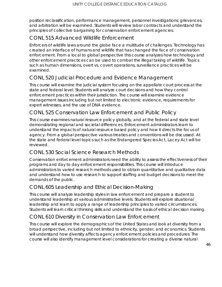position reclassification, performance management, personnel investigations; grievances, and arbitration will be examined. Students will review labor contracts and understand the principles of collective bargaining for conservation enforcement agencies.

# CONL 515 Advanced Wildlife Enforcement

Enforcers of wildlife laws around the globe face a multitude of challenges. Technology has created an interface of humans and wildlife that has changed the face of conservation enforcement. From a local to global perspective this course analyzes how technology and other enforcement practices can be used to combat the illegal taking of wildlife. Topics such as human dimensions, overt vs. covert operations, surveillance practices will be examined.

### CONL 520 Judicial Procedure and Evidence Management

This course will examine the judicial system focusing on the appellate court process at the state and federal level. Students will analyze court decisions and how they control enforcement practices within their jurisdiction. The course will examine evidence management issues including but not limited to electronic evidence, requirements for expert witnesses, and the use of DNA evidence.

### CONL 525 Conservation Law Enforcement and Public Policy

This course examines natural resource policy globally, and at the federal and state level demonstrating regional and societal differences. Enforcement administrators learn to understand the impacts of natural resource based policy and how it directs the focus of agency. From a global perspective various treaties and conventions will be discussed. At the state and federal level topics such as the Endangered Species Act, Lacey Act will be reviewed.

### CONL 530 Social Science Research Methods

Conservation enforcement administrators need the ability to assess the effectiveness of their programs and day to day enforcement responsibilities. This course will introduce administrators to varied research methods used to obtain quantitative and qualitative data and understand how to use research to support staffing and budget decisions to meet the demands of the public.

### CONL 605 Leadership and Ethical Decision-Making

This course will analyze leadership styles in law enforcement and prepare a student to understand leadership at various administrative levels. Students will explore situational leadership and learn to apply a range of leadership principles to varied circumstances. Students will learn critical thinking skills and understand the basis of ethical decision making.

### CONL 610 Diversity in Conservation Law Enforcement

This course will explore the demographics of the United States and look at diversity from a broad perspective, including but not limited to ethnicity, gender, and economics. Students will understand how diversity affects agency enforcement policies and procedures. The course will also identify management level considerations for creating a diverse natural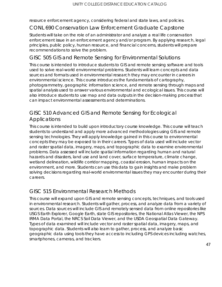resource enforcement agency, considering federal and state laws, and policies.

#### CONL 690 Conservation Law Enforcement Graduate Capstone

Students will take on the role of an administrator and analyze a real life conservation enforcement issue in an enforcement agency and/or program. By applying research, legal principles, public policy, human resource, and financial concerns, students will prepare recommendations to solve the problem.

#### GISC 505 GIS and Remote Sensing for Environmental Solutions

This course is intended to introduce students to GIS and remote sensing software and tools used to solve real-world environmental problems. Students will learn concepts and data sources and formats used in environmental research they may encounter in careers in environmental science. This course introduces the fundamentals of cartography, photogrammetry, geographic information science, and remote sensing through maps and spatial analysis used to answer various environmental and ecological issues. This course will also introduce students to use map and data outputs in the decision-making process that can impact environmental assessments and determinations.

### GISC 510 Advanced GIS and Remote Sensing for Ecological Applications

This course is intended to build upon introductory course knowledge. This course will teach students to understand and apply more advanced methodologies using GIS and remote sensing technologies. They will apply knowledge gained in this course to environmental concepts they may be exposed to in their careers. Types of data used will include vector and raster spatial data, imagery, maps, and topographic data to examine environmental problems. Data assessed will include spatial information regarding human and natural hazards and disasters, land use and land cover, surface temperature, climate change, wetland delineation, wildlife corridor mapping, coastal erosion, human impacts on the environment, and more. Students can use this data to gain insights and make problem solving decisions regarding real-world environmental issues they may encounter during their careers.

### GISC 515 Environmental Research Methods

This course will expand upon GIS and remote sensing concepts, techniques, and tools used in environmental research. Students will gather, process, and analyze data from a variety of sources. Data sources will include GIS and remotely sensed data from online repositories like USGS Earth Explorer, Google Earth, state GIS repositories, the National Atlas Viewer, the NPS IRMA Data Portal, the NRCS Soil Data Viewer, and the USDA Geospatial Data Gateway. Types of data examined will include vector and raster spatial data, imagery, maps, and topographic data. Students will also learn to gather, process, and analyze basic geographic data using tools they have access to including GPS devices including watches, smartphones, cameras, and trackers.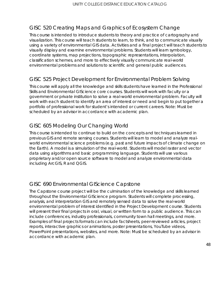### GISC 520 Creating Maps and Graphics of Ecosystem Change

This course is intended to introduce students to theory and practice of cartography and visualization. This course will teach students to learn, to think, and to communicate visually using a variety of environmental GIS data. Activities and a final project will teach students to visually display and examine environmental problems. Students will learn symbology, coordinate systems, map projections, topographic representations, interpolation, classification schemes, and more to effectively visually communicate real-world environmental problems and solutions to scientific and general public audiences.

### GISC 525 Project Development for Environmental Problem Solving

This course will apply all the knowledge and skills students have learned in the Professional Skills and Environmental GIScience core courses. Students will work with faculty or a government or private institution to solve a real-world environmental problem. Faculty will work with each student to identify an area of interest or need and begin to put together a portfolio of professional work for student's intended or current careers. Note: Must be scheduled by an advisor in accordance with academic plan.

### GISC 605 Modeling Our Changing World

This course is intended to continue to build on the concepts and techniques learned in previous GIS and remote sensing courses. Students will learn to model and analyze realworld environmental science problems (e.g. past and future impacts of climate change on the Earth). A model is a simulation of the real-world. Students will model raster and vector data using algorithms and basic programming language. Students will use various proprietary and/or open source software to model and analyze environmental data including ArcGIS, R and QGIS.

### GISC 690 Environmental GIScience Capstone

The Capstone course project will be the culmination of the knowledge and skills learned throughout the Environmental GIScience program. Students will complete processing, analysis, and interpretation GIS and remotely sensed data to solve the real-world environmental problem of interest identified in the Project Development course. Students will present their final projects in oral, visual, or written form to a public audience. This can include conferences, industry professionals, community town hall meetings, and more. Examples of final projects formats can include factsheets, peer-reviewed articles, project reports, interactive graphics or animations, poster presentations, YouTube videos, PowerPoint presentations, websites, and more. Note: Must be scheduled by an advisor in accordance with academic plan.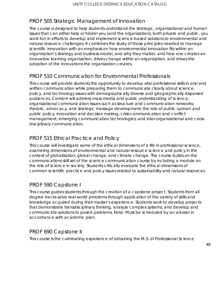### PROF 505 Strategic Management of Innovation

The course is designed to help students understand the strategic, organizational and human issues that can either help or hinder you (and the organizations, both private and public, you work for) in efforts to develop and implement science-based solutions to environmental and natural resource challenges. It combines the study of those principles needed to manage scientific innovation with an emphasis on how environmental innovation fits within an organization's strategy and business model, and why they matter, and how one creates an innovative learning organization, drives change within an organization, and drives the adoption of the innovations the organization creates.

### PROF 510 Communication for Environmental Professionals

This course will provide students the opportunity to develop vital professional skills in oral and written communication while preparing them to communicate clearly about science, policy, and technology issues with demographically diverse and geographically dispersed audiences. Content will address mass media and public understanding of science; organizational communication issues such as structure and communication networks; rhetoric, advocacy, and strategic message development; the role of public opinion and public policy; innovation and decision making; crisis communication and conflict management; emerging communication technologies; and inter-organizational and crossdisciplinary communication.

### PROF 515 Ethical Practice and Policy

This course will investigate some of the ethical dimensions of a life in professional science, examining dimensions of environmental and natural resource science and policy in the context of globalization, global change, and climate change. The course builds on the communications skill set of the science communication course by including a module on the role of science in society. Students critically evaluate the ethical dimensions of common scientific practice and policy issues related to sustainability and natural resources.

### PROF 590 Capstone I

This course guides students through the creation of a capstone project. Students from all degree tracks solve real-world problems through application of the variety of skills and knowledge acquired during their master's experience. Students work to develop projects that demonstrate transdisciplinary thinking, analyze complex systems, and develop and communicate solutions to posed problems. Note: Must be scheduled by an advisor in accordance with academic plan.

### PROF 690 Capstone II

This course is the culminating experience of obtaining the M.S. of Professional Science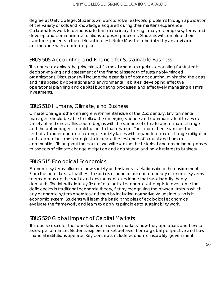degree at Unity College. Students will work to solve real-world problems through application of the variety of skills and knowledge acquired during their master's experience. Collaborators work to demonstrate transdisciplinary thinking, analyze complex systems, and develop and communicate solutions to posed problems. Students will complete their capstone projects in their fields of interest. Note: Must be scheduled by an advisor in accordance with academic plan.

### SBUS 505 Accounting and Finance for Sustainable Business

This course examines the principles of financial and managerial accounting for strategic decision-making and assessment of the financial strength of sustainably-minded organizations. Discussions will include the essentials of cost accounting, minimizing the costs and risks posed by operations and environmental liabilities, developing effective operational planning and capital budgeting processes, and effectively managing a firm's investments.

### SBUS 510 Humans, Climate, and Business

Climate change is the defining environmental issue of the 21st century. Environmental managers should be able to follow the emerging science and communicate it to a wide variety of audiences. This course begins with the science of climate and climate change and the anthropogenic contributions to that change. The course then examines the technical and economic challenges society faces with regard to climate change mitigation and adaptation, and strategies to increase the resilience of natural and human communities. Throughout the course, we will examine the historical and emerging responses to aspects of climate change mitigation and adaptation and how it relates to business.

### SBUS 515 Ecological Economics

Economic systems influence how society understands its relationship to the environment. From the neo-classical synthesis to socialism, none of our contemporary economic systems seems to provide the social and environmental resilience that sustainability theory demands. The interdisciplinary field of ecological economics attempts to overcome the deficiencies in traditional economic theory, first by recognizing the physical limits in which any economic system operates and then by including normative values into a holistic economic system. Students will learn the basic principles of ecological economics, evaluate the framework, and learn to apply its principles to sustainability work.

# SBUS 520 Global Impact of Capital Markets

This course explores the foundations of financial markets, how they operation, and how to assess performance. Students explore market behavior from a global perspective and how financial institutions operate. Key concepts include economic instability, government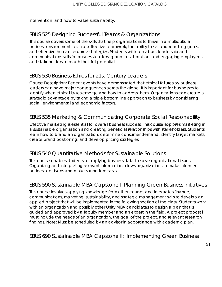intervention, and how to value sustainability.

# SBUS 525 Designing Successful Teams & Organizations

This course covers some of the skills that help organizations to thrive in a multicultural business environment, such as effective teamwork, the ability to set and reaching goals, and effective human resource strategies. Students will learn about leadership and communications skills for business leaders, group collaboration, and engaging employees and stakeholders to reach their full potential.

### SBUS 530 Business Ethics for 21st Century Leaders

Course Description: Recent events have demonstrated that ethical failures by business leaders can have major consequences across the globe. It is important for businesses to identify when ethical issues emerge and how to address them. Organizations can create a strategic advantage by taking a triple bottom line approach to business by considering social, environmental and economic factors.

### SBUS 535 Marketing & Communicating Corporate Social Responsibility

Effective marketing is essential for overall business success. This course explores marketing in a sustainable organization and creating beneficial relationships with stakeholders. Students learn how to brand an organization, determine consumer demand, identify target markets, create brand positioning, and develop pricing strategies.

### SBUS 540 Quantitative Methods for Sustainable Solutions

This course enables students to applying business data to solve organizational issues. Organizing and interpreting relevant information allows organizations to make informed business decisions and make sound forecasts.

### SBUS 590 Sustainable MBA Capstone I: Planning Green Business Initiatives

This course involves applying knowledge from other courses and integrates finance, communications, marketing, sustainability, and strategic management skills to develop an applied project that will be implemented in the following section of the class. Students work with an organization and possibly other Unity MBA candidates to design a plan that is guided and approved by a faculty member and an expert in the field. A project proposal must include the needs of an organization, the goal of the project, and relevant research findings. Note: Must be scheduled by an advisor in accordance with academic plan.

SBUS 690 Sustainable MBA Capstone II: Implementing Green Business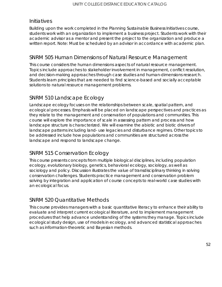#### Initiatives

Building upon the work completed in the Planning Sustainable Business Initiatives course, students work with an organization to implement a business project. Students work with their academic advisor as a mentor and present the project to the organization and produce a written report. Note: Must be scheduled by an advisor in accordance with academic plan.

#### SNRM 505 Human Dimensions of Natural Resource Management

This course considers the human dimensions aspects of natural resource management. Topics include approaches to stakeholder involvement in management, conflict resolution, and decision-making approaches through case studies and human-dimensions research. Students learn principles that are needed to find science-based and socially acceptable solutions to natural resource management problems.

#### SNRM 510 Landscape Ecology

Landscape ecology focuses on the relationships between scale, spatial pattern, and ecological processes. Emphasis will be placed on landscape perspectives and practices as they relate to the management and conservation of populations and communities. This course will explore the importance of scale in assessing pattern and process and how landscape structure is characterized. We will examine the abiotic and biotic drivers of landscape patterns including land- use legacies and disturbance regimes. Other topics to be addressed include how populations and communities are structured across the landscape and respond to landscape change.

### SNRM 515 Conservation Ecology

This course presents concepts from multiple biological disciplines, including population ecology, evolutionary biology, genetics, behavioral ecology, sociology, as well as sociology and policy. Discussion illustrates the value of transdisciplinary thinking in solving conservation challenges. Students practice management and conservation problem solving by integration and application of course concepts to real-world case studies with an ecological focus.

### SNRM 520 Quantitative Methods

This course provides managers with a basic quantitative literacy to enhance their ability to evaluate and interpret current ecological literature, and to implement management procedures that help advance understanding of the systems they manage. Topics include ecological study design, use of models in ecology, and advanced statistical approaches such as information-theoretic and Bayesian methods.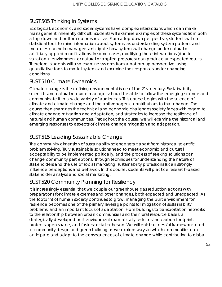### SUST 505 Thinking in Systems

Ecological, economic, and social systems have complex interactions which can make management inherently difficult. Students will examine examples of these systems from both a top-down and bottom-up perspective. From a top-down perspective, students will use statistical tools to mine information about systems, as understanding system patterns and measures can help managers anticipate how systems will change under natural or artificially applied modifications. In some cases, modifying these interactions (due to variation in environment or natural or applied pressures) can produce unexpected results. Therefore, students will also examine systems from a bottom-up perspective, using quantitative tools to model systems and examine their responses under changing conditions.

### SUST 510 Climate Dynamics

Climate change is the defining environmental issue of the 21st century. Sustainability scientists and natural resource managers should be able to follow the emerging science and communicate it to a wide variety of audiences. This course begins with the science of climate and climate change and the anthropogenic contributions to that change. The course then examines the technical and economic challenges society faces with regard to climate change mitigation and adaptation, and strategies to increase the resilience of natural and human communities. Throughout the course, we will examine the historical and emerging responses to aspects of climate change mitigation and adaptation.

### SUST 515 Leading Sustainable Change

The community dimension of sustainability science sets it apart from historical scientific problem solving. Truly sustainable solutions need to meet economic and cultural acceptability to be implemented politically, and the process of seeking solutions can change community perceptions. Through techniques for understanding the nature of stakeholders and the use of social marketing, sustainability professionals can strongly influence perceptions and behavior. In this course, students will practice research-based stakeholder analysis and social marketing.

# SUST 520 Community Planning for Resiliency

It is increasingly essential that we couple our greenhouse gas reduction actions with preparations for climate extremes and other changes, both expected and unexpected. As the footprint of human society continues to grow, managing the built environment for resilience becomes one of the primary leverage points for mitigation of sustainability problems, and an important focus of adaptation. From buildings to transportation networks to the relationship between urban communities and their rural resource bases, a strategically developed built environment dramatically reduces the carbon footprint, protects open space, and fosters social cohesion. We will enlist successful frameworks used in community design and green building as we explore ways in which communities can anticipate and adapt to the consequences of climate change while contributing to global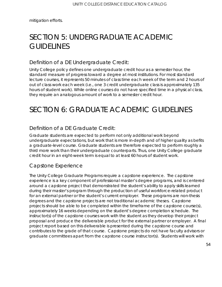mitigation efforts.

# SECTION 5: UNDERGRADUATE ACADEMIC **GUIDELINES**

#### Definition of a DE Undergraduate Credit:

Unity College policy defines one undergraduate credit hour as a semester hour, the standard measure of progress toward a degree at most institutions. For most standard lecture courses, it represents 50 minutes of class time each week of the term and 2 hours of out of class work each week (i.e., one 3 credit undergraduate class is approximately 135 hours of student work). While online courses do not have specified time in a physical class, they require an analogous amount of work to a semester credit hour.

# SECTION 6: GRADUATE ACADEMIC GUIDELINES

### Definition of a DE Graduate Credit:

Graduate students are expected to perform not only additional work beyond undergraduate expectations, but work that is more in-depth and of higher quality as befits a graduate-level course. Graduate students are therefore expected to perform roughly a third more work than their undergraduate counterparts. Thus, one Unity College graduate credit hour in an eight-week term is equal to at least 60 hours of student work.

### Capstone Experience

The Unity College Graduate Programs require a capstone experience. The capstone experience is a key component of professional master's degree programs, and is centered around a capstone project that demonstrated the student's ability to apply skills learned during their master's program through the production of useful workforce-related product for an external partner or the student's current employer. These programs are non-thesis degrees and the capstone projects are not traditional academic theses. Capstone projects should be able to be completed within the timeframe of the capstone course(s), approximately 16 weeks depending on the student's degree completion schedule. The instructor(s) of the capstone courses work with the student as they develop their project proposal and produce the deliverable product for the external partner or employer. A final project report based on this deliverable is presented during the capstone course and contributes to the grade of that course. Capstone projects do not have faculty advisors or graduate committees apart from the capstone course instructor(s). Students will work with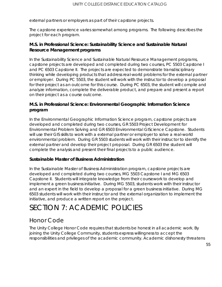external partners or employers as part of their capstone projects.

The capstone experience varies somewhat among programs. The following describes the project for each program.

#### **M.S. in Professional Science: Sustainability Science and Sustainable Natural Resource Management programs**

In the Sustainability Science and Sustainable Natural Resource Management programs, capstone projects are developed and completed during two courses, PC 5503 Capstone I and PC 6503 Capstone II. The projects are expected to demonstrate transdisciplinary thinking while developing products that address real-world problems for the external partner or employer. During PC 5503, the student will work with the instructor to develop a proposal for their project as an outcome for this course. During PC 6503, the student will compile and analyze information, complete the deliverable product, and prepare and present a report on their project as a course outcome.

#### **M.S. in Professional Science: Environmental Geographic Information Science program**

In the Environmental Geographic Information Science program, capstone projects are developed and completed during two courses, GR 5503 Project Development for Environmental Problem Solving and GR 6503 Environmental GIScience Capstone. Students will use their GIS skills to work with a external partner or employer to solve a real-world environmental problem. During GR 5503 students will work with their instructor to identify the external partner and develop their project proposal. During GR 6503 the student will complete the analysis and present their final projects to a public audience.

#### **Sustainable Master of Business Administration**

In the Sustainable Master of Business Administration program, capstone projects are developed and completed during two courses, MG 5503 Capstone I and MG 6503 Capstone II. Students will integrate knowledge from their coursework to develop and implement a green business initiative. During MG 5503, students work with their instructor and an expert in the field to develop a proposal for a green business initiative. During MG 6503 students will work with their instructor and the external organization to implement the initiative, and produce a written report on the project.

# SECTION 7: ACADEMIC POLICIES

# Honor Code

The Unity College Honor Code requires that students be honest in all academic work. By joining the Unity College Community, students express willingness to accept the responsibilities and privileges of the academic community. Academic dishonesty threatens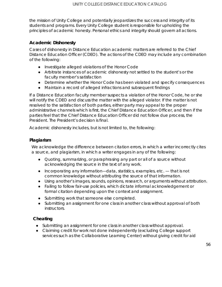the mission of Unity College and potentially jeopardizes the success and integrity of its students and programs. Every Unity College student is responsible for upholding the principles of academic honesty. Personal ethics and integrity should govern all actions.

#### **Academic Dishonesty**

Cases of dishonesty in Distance Education academic matters are referred to the Chief Distance Education Officer (CDEO). The actions of the CDEO may include any combination of the following:

- Investigate alleged violations of the Honor Code
- Arbitrate instances of academic dishonesty not settled to the student's or the faculty member's satisfaction
- Determine whether the Honor Code has been violated and specify consequences
- Maintain a record of alleged infractions and subsequent findings

If a Distance Education faculty member suspects a violation of the Honor Code, he or she will notify the CDEO and discuss the matter with the alleged violator. If the matter is not resolved to the satisfaction of both parties, either party may appeal to the proper administrative channels which is first, the Chief Distance Education Officer, and then if the parties feel that the Chief Distance Education Officer did not follow due process, the President. The President's decision is final.

Academic dishonesty includes, but is not limited to, the following:

#### **Plagiarism**

We acknowledge the difference between citation errors, in which a writer incorrectly cites a source, and plagiarism, in which a writer engages in any of the following:

- Quoting, summarizing, or paraphrasing any part or all of a source without acknowledging the source in the text of any work.
- Incorporating any information—data, statistics, examples, etc. that is not common knowledge without attributing the source of that information.
- Using another's images, sounds, opinions, research, or arguments without attribution.
- Failing to follow fair-use policies, which dictate informal acknowledgement or formal citation depending upon the context and assignment.
- Submitting work that someone else completed.
- Submitting an assignment for one class in another class without approval of both instructors.

#### **Cheating**

- Submitting an assignment for one class in another class without approval.
- Claiming credit for work not done independently (excluding College support services such as the Collaborative Learning Center) without giving credit for aid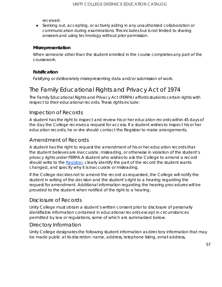received.

● Seeking out, accepting, or actively aiding in any unauthorized collaboration or communication during examinations. This includes but is not limited to sharing answers and using technology without prior permission.

#### **Misrepresentation**

When someone other than the student enrolled in the course completes any part of the coursework.

#### **Falsification**

Falsifying or deliberately misrepresenting data and/or submission of work.

# The Family Educational Rights and Privacy Act of 1974

The Family Educational Rights and Privacy Act (FERPA) affords students certain rights with respect to their educational records. These rights include:

#### Inspection of Records

A student has the right to inspect and review his or her education records within 45 days of the day the College receives a request for access. If a student wishes to inspect his or her education records, he or she should contact the Registrar to make arrangements.

#### Amendment of Records

A student has the right to request the amendment of his or her education records that the student believes are inaccurate, misleading, or otherwise in violation of the student's privacy rights under FERPA.A student who wishes to ask the College to amend a record should write to the [Registrar,](mailto:registrarsoffice@unity.edu) clearly identify the part of the record the student wants changed, and specify why it is inaccurate or misleading.

If the College decides not to amend the record as requested, the College will notify the student in writing of the decision and the student's right to a hearing regarding the request for amendment. Additional information regarding the hearing procedures will be provided to the student when notified of the right to a hearing.

#### Disclosure of Records

Unity College must obtain a student's written consent prior to disclosure of personally identifiable information contained in educational records except in circumstances permitted by law or regulations, some of which are summarized below.

#### Directory Information

Unity College designates the following student information as directory information that may be made public at its discretion: name, address, telephone listing, email address,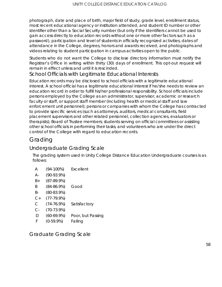photograph, date and place of birth, major field of study, grade level, enrollment status, most recent educational agency or institution attended, and student ID number or other identifier other than a Social Security number (but only if the identifiers cannot be used to gain access directly to education records without one or more other factors such as a password), participation and level of students in officially recognized activities, dates of attendance in the College, degrees, honors and awards received, and photographs and videos relating to student participation in campus activities open to the public.

Students who do not want the College to disclose directory information must notify the Registrar's Office in writing within thirty (30) days of enrollment. This opt-out request will remain in effect unless and until it is rescinded.

### School Officials with Legitimate Educational Interests

Education records may be disclosed to school officials with a legitimate educational interest. A school official has a legitimate educational interest if he/she needs to review an education record in order to fulfill his/her professional responsibility. School officials include persons employed by the College as an administrator, supervisor, academic or research faculty or staff, or support staff member (including health or medical staff and law enforcement unit personnel); persons or companies with whom the College has contracted to provide specific services (such as attorneys, auditors, medical consultants, field placement supervisors and other related personnel, collection agencies, evaluators or therapists); Board of Trustee members; students serving on official committees or assisting other school officials in performing their tasks; and volunteers who are under the direct control of the College with regard to education records.

# Grading

### Undergraduate Grading Scale

The grading system used in Unity College Distance Education Undergraduate courses is as follows:

- A (94-100%) Excellent
- A- (90-93.9%)
- B+ (87-89.9%)
- B (84-86.9%) Good
- B- (80-83.9%)
- C+ (77-79.9%)
- C (74-76.9%) Satisfactory
- C- (70-73.9%)
- D (60-69.9%) Poor, but Passing
- F (0-59.9%) Failing

Graduate Grading Scale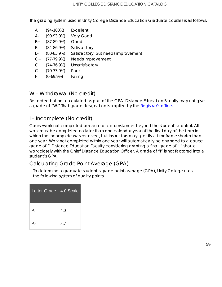The grading system used in Unity College Distance Education Graduate courses is as follows:

| A     | $(94-100\%)$    | Excellent                           |
|-------|-----------------|-------------------------------------|
| Α-    | $(90-93.9%)$    | Very Good                           |
| $B+$  | $(87-89.9%)$    | Good                                |
| B     | $(84 - 86.9\%)$ | Satisfactory                        |
| B-    | $(80-83.9%)$    | Satisfactory, but needs improvement |
| $C+$  | $(77-79.9%)$    | Needs improvement                   |
| C     | $(74-76.9%)$    | Unsatisfactory                      |
| $C -$ | $(70-73.9%)$    | Poor                                |
| F     | $(0-69.9\%)$    | Failing                             |

### W – Withdrawal (No credit)

Recorded but not calculated as part of the GPA. Distance Education Faculty may not give a grade of "W." That grade designation is applied by the [Registrar's office.](https://www.unity.edu/academics/academic-resources/registrar/)

#### I – Incomplete (No credit)

Coursework not completed because of circumstances beyond the student's control. All work must be completed no later than one calendar year of the final day of the term in which the Incomplete was received, but instructors may specify a timeframe shorter than one year. Work not completed within one year will automatically be changed to a course grade of F. Distance Education Faculty considering granting a final grade of "I" should work closely with the Chief Distance Education Officer. A grade of "I" is not factored into a student's GPA.

### Calculating Grade Point Average (GPA)

To determine a graduate student's grade point average (GPA), Unity College uses the following system of quality points:

| Letter Grade   4.0 Scale |     |
|--------------------------|-----|
| A                        | 4.0 |
|                          | 3.7 |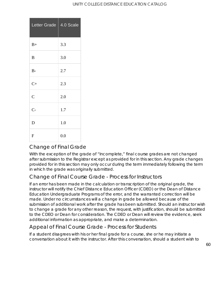#### UNITY COLLEGE DISTANCE EDUCATION CATALOG

| Letter Grade   | 4.0 Scale |
|----------------|-----------|
| $B+$           | 3.3       |
| B              | 3.0       |
| $B -$          | 2.7       |
| $C+$           | 2.3       |
| $\overline{C}$ | 2.0       |
| $C-$           | 1.7       |
| D              | 1.0       |
| $\mathbf F$    | 0.0       |

### Change of Final Grade

With the exception of the grade of "Incomplete," final course grades are not changed after submission to the Registrar except as provided for in this section. Any grade changes provided for in this section may only occur during the term immediately following the term in which the grade was originally submitted.

### Change of Final Course Grade - Process for Instructors

If an error has been made in the calculation or transcription of the original grade, the instructor will notify the Chief Distance Education Officer (CDEO) or the Dean of Distance Education Undergraduate Programs of the error, and the warranted correction will be made. Under no circumstances will a change in grade be allowed because of the submission of additional work after the grade has been submitted. Should an instructor wish to change a grade for any other reason, the request, with justification, should be submitted to the CDEO or Dean for consideration. The CDEO or Dean will review the evidence, seek additional information as appropriate, and make a determination.

### Appeal of Final Course Grade - Process for Students

If a student disagrees with his or her final grade for a course, she or he may initiate a conversation about it with the instructor. After this conversation, should a student wish to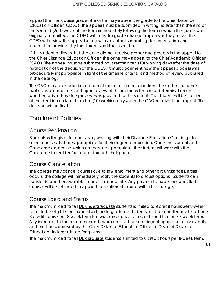appeal the final course grade, she or he may appeal the grade to the Chief Distance Education Officer (CDEO). The appeal must be submitted in writing no later than the end of the second (2nd) week of the term immediately following the term in which the grade was originally submitted. The CDEO will consider grade change appeals as they arrive. The CDEO will review the appeal along with any other supporting documentation and information provided by the student and the instructor.

If the student believes that she or he did not receive proper due process in the appeal to the Chief Distance Education Officer, she or he may appeal to the Chief Academic Officer (CAO). The appeal must be submitted no later than ten (10) working days after the date of notification of the decision of the CDEO. It must document how the appeal process was procedurally inappropriate in light of the timeline criteria, and method of review published in the catalog.

The CAO may seek additional information or documentation from the student, or other parties as appropriate, and upon review of the record will make a determination on whether satisfactory due process was provided to the student. The student will be notified of the decision no later than ten (10) working days after the CAO received the appeal. The decision will be final.

# Enrollment Policies

#### Course Registration

Students will register for courses by working with their Distance Education Concierge to select courses that are appropriate for their degree completion. Once the student and Concierge determine which courses are appropriate, the student will work with the Concierge to register for courses through their portal.

### Course Cancellation

The college may cancel courses due to low enrollment and other circumstances. If this occurs, the college will immediately notify the students to discuss options. Students can transfer to another available course if appropriate. Any payments made for cancelled courses will be refunded or applied to a different course within the college.

### Course Load and Status

The maximum load for all **DE undergraduate** students is limited to 9 credit hours per 8-week term. To be eligible for financial aid, undergraduate students must be enrolled in at least one 3-credit course per 8-week term for two consecutive terms, or 6 credits in one 8 week term. Any increases to the recommended maximum load are contingent upon course availability and must be approved by the Chief Distance Education Officer or Dean of Distance Education Undergraduate Programs.

The maximum load for all **DE graduate** students is limited to 6 credit hours per 8-week term.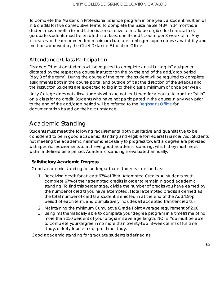To complete the Master's in Professional Science program in one year, a student must enroll in 6 credits for five consecutive terms. To complete the Sustainable MBA in 14 months, a student must enroll in 6 credits for six consecutive terms. To be eligible for financial aid, graduate students must be enrolled in at least one 3-credit course per 8-week term. Any increases to the recommended maximum load are contingent upon course availability and must be approved by the Chief Distance Education Officer.

### Attendance/Class Participation

Distance Education students will be required to complete an initial "log-in" assignment dictated by the respective course instructor on the by the end of the add/drop period (day 3 of the term). During the course of the term, the student will be required to complete assignments both in the course portal and outside of it at the direction of the syllabus and the instructor. Students are expected to log in to their class a minimum of once per week.

Unity College does not allow students who are not registered for a course to audit or "sit in" on a class for no credit. Students who have not participated in the course in any way prior to the end of the add/drop period will be referred to the [Registrar's Office](https://www.unity.edu/academics/academic-resources/registrar/) for documentation based on their circumstance.

# Academic Standing

Students must meet the following requirements, both qualitative and quantitative to be considered to be in good academic standing and eligible for Federal Financial Aid. Students not meeting the academic minimums necessary to progress toward a degree are provided with specific requirements to achieve good academic standing, which they must meet within a defined time period. Academic standing is evaluated annually.

#### **Satisfactory Academic Progress**

Good academic standing for undergraduate students is defined as:

- 1. Receiving credit for at least 67% of Total Attempted Credits. All students must complete 67% of their attempted credits in order to remain in good academic standing. To find this percentage, divide the number of credits you have earned by the number of credits you have attempted. (Total attempted credits is defined as the total number of credits a student is enrolled in at the end of the Add/Drop period of each term, and cumulatively includes all accepted transfer credits.)
- 2. Maintaining the minimum Cumulative Grade Point Average requirement of 2.00
- 3. Being mathematically able to complete your degree program in a timeframe of no more than 150 percent of your program's average length. NOTE: You must be able to complete your degree in no more than twenty-two, 8-week terms of full time study, or forty-four terms of part time study.

Good academic standing for graduate students is defined as: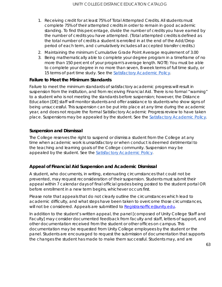- 1. Receiving credit for at least 75% of Total Attempted Credits. All students must complete 75% of their attempted credits in order to remain in good academic standing. To find this percentage, divide the number of credits you have earned by the number of credits you have attempted. (Total attempted credits is defined as the total number of credits a student is enrolled in at the end of the Add/Drop period of each term, and cumulatively includes all accepted transfer credits.)
- 2. Maintaining the minimum Cumulative Grade Point Average requirement of 3.00
- 3. Being mathematically able to complete your degree program in a timeframe of no more than 150 percent of your program's average length. NOTE: You must be able to complete your degree in no more than seven, 8-week terms of full time study, or 15 terms of part time study. See the **Satisfactory Academic Policy**.

#### **Failure to Meet the Minimum Standards**

Failure to meet the minimum standards of satisfactory academic progress will result in suspension from the institution, and from receiving Financial Aid. There is no formal "warning" to a student who is not meeting the standards before suspension; however, the Distance Education [DE] staff will monitor students and offer assistance to students who show signs of being unsuccessful. This suspension can be put into place at any time during the academic year, and does not require the formal Satisfactory Academic Progress review to have taken place. Suspensions may be appealed by the student. See the [Satisfactory Academic Policy.](https://sharepoint.unity.edu/DE/Shared%20Documents/Distance%20Education%20General%20Policies/UTY-DE-18-0008%20Combined%20Undergrad-Grad%20SAP.pdf)

#### **Suspension and Dismissal**

The College reserves the right to suspend or dismiss a student from the College at any time when academic work is unsatisfactory or when conduct is deemed detrimental to the teaching and learning goals of the College community. Suspension may be appealed by the student. See the [Satisfactory Academic Policy.](https://sharepoint.unity.edu/DE/Shared%20Documents/Distance%20Education%20General%20Policies/UTY-DE-18-0008%20Combined%20Undergrad-Grad%20SAP.pdf)

#### **Appeal of Financial Aid Suspension and Academic Dismissal**

A student, who documents, in writing, extenuating circumstances that could not be prevented, may request reconsideration of their suspension. Students must submit their appeal within 7 calendar days of final official grades being posted to the student portal OR before enrollment in a new term begins, whichever occurs first.

Please note that appeals that do not clearly outline the circumstances which lead to academic difficulty, and what steps have been taken to overcome those circumstances, will not be considered. Appeals are submitted to [Registrarsoffice@unity.edu.](mailto:Registrarsoffice@unity.edu)

In addition to the student's written appeal, the panel [composed of Unity College Staff and Faculty] may consider documented feedback from faculty and staff, letters of support, and other documentation received from the student or other offices on campus. This documentation may be requested from Unity College employees by the student or the panel. Students are encouraged to request the submission of documentation that supports the changes the student has made to make them successful. Students may, and are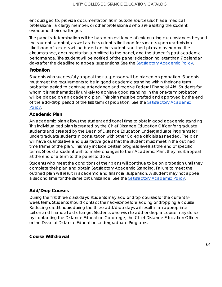encouraged to, provide documentation from outside sources such as a medical professional, a clergy member, or other professionals who are assisting the student overcome their challenges.

The panel's determination will be based on evidence of extenuating circumstances beyond the student's control, as well as the student's likelihood for success upon readmission. Likelihood of success will be based on the student's outlined plans to overcome the circumstance, documentation submitted to the panel, and the student's past academic performance. The student will be notified of the panel's decision no later than 7 calendar days after the deadline to appeal suspensions. See the [Satisfactory Academic Policy.](https://sharepoint.unity.edu/DE/Shared%20Documents/Distance%20Education%20General%20Policies/UTY-DE-18-0008%20Combined%20Undergrad-Grad%20SAP.pdf)

#### **Probation**

Students who successfully appeal their suspension will be placed on probation. Students must meet the requirements to be in good academic standing within their one term probation period to continue attendance and receive Federal Financial Aid. Students for whom it is mathematically unlikely to achieve good standing in the one-term probation will be placed on an academic plan. This plan must be crafted and approved by the end of the add-drop period of the first term of probation. See the [Satisfactory Academic](https://sharepoint.unity.edu/DE/Shared%20Documents/Distance%20Education%20General%20Policies/UTY-DE-18-0008%20Combined%20Undergrad-Grad%20SAP.pdf)  [Policy.](https://sharepoint.unity.edu/DE/Shared%20Documents/Distance%20Education%20General%20Policies/UTY-DE-18-0008%20Combined%20Undergrad-Grad%20SAP.pdf)

#### **Academic Plan**

An academic plan allows the student additional time to obtain good academic standing. This individualized plan is created by the Chief Distance Education Officer for graduate students and created by the Dean of Distance Education Undergraduate Programs for undergraduate students in consultation with other College officials as needed. The plan will have quantitative and qualitative goals that the student must meet in the outlined time frame of the plan. This may include certain progress levels at the end of specific terms. Should a student wish to make changes to their Academic Plan, they must appeal at the end of a term to the panel to do so.

Students who meet the conditions of their plans will continue to be on probation until they complete their plan and obtain Satisfactory Academic Standing. Failure to meet the outlined plan will result in academic and financial suspension. A student may not appeal a second time for the same circumstance. See the [Satisfactory Academic Policy.](https://sharepoint.unity.edu/DE/Shared%20Documents/Distance%20Education%20General%20Policies/UTY-DE-18-0008%20Combined%20Undergrad-Grad%20SAP.pdf)

#### **Add/Drop Courses**

During the first three class days, students may add or drop courses for the current 8 week term. Students should contact their advisor before adding or dropping a course. Reducing credit hours during the three add/drop days will result in an appropriate tuition and financial aid change. Students who wish to add or drop a course may do so by contacting the Distance Education Concierge, the Chief Distance Education Officer, or the Dean of Distance Education Undergraduate Programs.

#### **Course Withdrawal**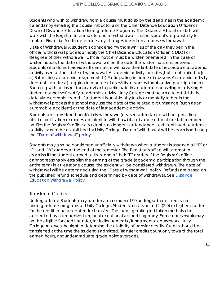Students who wish to withdraw from a course must do so by the deadlines in the academic calendar by emailing the course instructor and the Chief Distance Education Officer or Dean of Distance Education Undergraduate Programs. The Distance Education staff will work with the Registrar to complete course withdrawal. It is the student's responsibility to contact Financial Aid to determine any changes based on a course withdrawal.

Date of Withdrawal A student is considered "withdrawn" as of the day they begin the official withdrawal process or notify the Chief Distance Education Officer [CDEO] or designee of their withdrawal. Official notice must be written or emailed. In the case of written notice, the date of withdrawal will be the date the written notice is received. Students who do not provide official notice will have their last date of recordable academic activity used as their date of withdrawal. Academic activity includes [but is not limited to]: a) Submitting academic assignments b) Participating in online discussions Academic activity does not include: a) Logging into online classes/discussions without active participation b) Speaking with an instructor or advisor to participate in academic counseling or advising A student cannot self-certify academic activity. Unity College must be able to establish the date via electronic record. If a student is unable physically or mentally to begin the withdrawal process the school may use the date of the related circumstance [such as an automobile accident] or the date of last academic activity.

Students are considered unofficially withdrawn (ceased attendance without providing official notification or expressed intent to withdraw) if a distance education staff member notifies the Registrar's office a student is no longer in attendance, and continued academic activity cannot be established by Unity College. Date of withdrawal will be established using the ["Date of withdrawal" policy.](https://sharepoint.unity.edu/DE/Shared%20Documents/Distance%20Education%20General%20Policies/UTY-DE-18-0012%20Withdrawal.pdf)

Students may also be considered unofficially withdrawn when a student is assigned all "F" or "F" and "W" grades at the end of the semester. The Registrar's office will attempt to establish if the student earned at least one of their "F" grades. If the Registrar's office cannot reasonably establish the earning of the grade (academic participation through the entire term) in at least one course, the student will be considered withdrawn. The date of withdrawal will be determined using the "Date of withdrawal" policy. Refunds are based on the published refund schedule and determined by date of withdrawal. See Distance [Education Withdrawal Policy.](https://sharepoint.unity.edu/DE/Shared%20Documents/Distance%20Education%20General%20Policies/UTY-DE-18-0012%20Withdrawal.pdf)

#### Transfer of Credits

Undergraduate Students may transfer a maximum of 90 undergraduate credits into undergraduate programs at Unity College. Students must earn a 'C' (2.0) or higher in order for the credit to be accepted for transfer. The credit granting institution must also be accredited by a recognized regional or national accrediting body. Some coursework may not be eligible for credit transfer, including remedial/fundamental coursework. Unity College reserves the right to determine the eligibility of transfer credits. Credits should be transferred at the time the student is admitted. Transfer credits count only toward the total earned hours, not undergraduate grade point averages.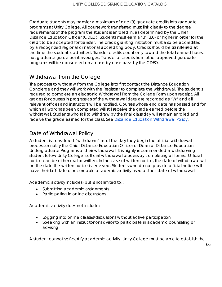Graduate students may transfer a maximum of nine (9) graduate credits into graduate programs at Unity College. All coursework transferred must link clearly to the degree requirements of the program the student is enrolled in, as determined by the Chief Distance Education Officer (CDEO). Students must earn a 'B' (3.0) or higher in order for the credit to be accepted for transfer. The credit granting institution must also be accredited by a recognized regional or national accrediting body. Credits should be transferred at the time the student is admitted. Transfer credits count only toward the total earned hours, not graduate grade point averages. Transfer of credits from other approved graduate programs will be considered on a case-by-case basis by the CDEO.

### Withdrawal from the College

The process to withdraw from the College is to first contact the Distance Education Concierge and they will work with the Registrar to complete the withdrawal. The student is required to complete an electronic Withdrawal From the College Form upon receipt. All grades for courses in progress as of the withdrawal date are recorded as "W" and all relevant offices and instructors will be notified. Courses whose end date has passed and for which all work has been completed will still receive the grade earned before the withdrawal. Students who fail to withdraw by the final class day will remain enrolled and receive the grade earned for the class. See **Distance Education Withdrawal Policy**.

### Date of Withdrawal Policy

A student is considered "withdrawn" as of the day they begin the official withdrawal process or notify the Chief Distance Education Officer or Dean of Distance Education Undergraduate Programs of their withdrawal. It is highly recommended a withdrawing student follow Unity College's official withdrawal process by completing all forms. Official notice can be either oral or written. In the case of written notice, the date of withdrawal will be the date the written notice is received. Students who do not provide official notice will have their last date of recordable academic activity used as their date of withdrawal.

Academic activity includes (but is not limited to):

- Submitting academic assignments
- Participating in online discussions

Academic activity does not include:

- Logging into online classes/discussions without active participation
- Speaking with an instructor or advisor to participate in academic counseling or advising

A student cannot self-certify academic activity. Unity College must be able to establish the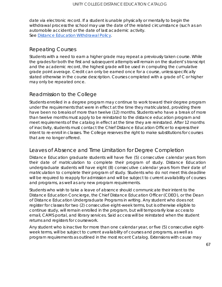date via electronic record. If a student is unable physically or mentally to begin the withdrawal process the school may use the date of the related circumstance (such as an automobile accident) or the date of last academic activity. See [Distance Education Withdrawal](https://sharepoint.unity.edu/DE/Shared%20Documents/Distance%20Education%20General%20Policies/UTY-DE-18-0012%20Withdrawal.pdf) Policy.

### Repeating Courses

Students with a need to earn a higher grade may repeat a previously taken course. While the grades for both the first and subsequent attempts will remain on the student's transcript and the academic record, the highest grade will be used in computing the cumulative grade point average. Credit can only be earned once for a course, unless specifically stated otherwise in the course description. Courses completed with a grade of C or higher may only be repeated once.

### Readmission to the College

Students enrolled in a degree program may continue to work toward their degree program under the requirements that were in effect at the time they matriculated, providing there have been no breaks of more than twelve (12) months. Students who have a break of more than twelve months must apply to be reinstated to the distance education program and meet requirements of the catalog in effect at the time they are reinstated. After 12 months of inactivity, students must contact the Chief Distance Education Officer to express their intent to re-enroll in classes. The College reserves the right to make substitutions for courses that are no longer offered.

### Leaves of Absence and Time Limitation for Degree Completion

Distance Education graduate students will have five (5) consecutive calendar years from their date of matriculation to complete their program of study. Distance Education undergraduate students will have eight (8) consecutive calendar years from their date of matriculation to complete their program of study. Students who do not meet this deadline will be required to reapply for admission and will be subject to current availability of courses and programs, as well as any new program requirements.

Students who wish to take a leave of absence should communicate their intent to the Distance Education Concierge, the Chief Distance Education Officer (CDEO), or the Dean of Distance Education Undergraduate Programs in writing. Any student who does not register for classes for two (2) consecutive eight-week terms, but is otherwise eligible to continue study, will remain enrolled in the program, but will temporarily lose access to email, CAMS portal, and library services. Said access will be reinstated when the student returns and registers for coursework.

Any student who is inactive for more than one calendar year, or five (5) consecutive eightweek terms, will be subject to current availability of courses and programs, as well as program requirements as outlined in the most recent Catalog. Extensions with cause may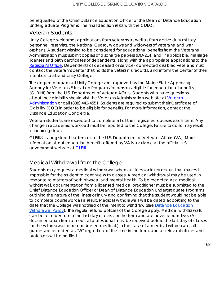be requested of the Chief Distance Education Officer or the Dean of Distance Education Undergraduate Programs. The final decision rests with the CDEO.

#### Veteran Students

Unity College welcomes applications from veterans as well as from active duty military personnel, reservists, the National Guard, widows and widowers of veterans, and war orphans. A student wishing to be considered for educational benefits from the Veterans Administration must submit copies of discharge papers (DD-214) and, if applicable, marriage licenses and birth certificates of dependents, along with the appropriate applications to the [Registrar's Office.](https://www.unity.edu/academics/academic-resources/registrar/) Dependents of deceased or service- connected disabled veterans must contact the veteran's center that holds the veteran's records, and inform the center of their intention to attend Unity College.

The degree programs of Unity College are approved by the Maine State Approving Agency for Veterans Education Programs for persons eligible for educational benefits (GI Bill®) from the U.S. Department of Veteran Affairs. Students who have questions about their eligibility should visit the Veterans Administration web site at [Veteran](http://www.gibill.va.gov/)  [Administration](http://www.gibill.va.gov/) or call (888) 442-4551. Students are required to submit their Certificate of Eligibility (COE) in order to be eligible for benefits. For more information, contact the Distance Education Concierge.

Veteran students are expected to complete all of their registered courses each term. Any change in academic workload must be reported to the College. Failure to do so may result in incurring debt.

*GI Bill® is a registered trademark of the U.S. Department of Veterans Affairs (VA). More information about education benefits offered by VA is available at the official U.S. government website at [GI Bill.](http://www.benefits.va.gov/gibill)*

### Medical Withdrawal from the College

Students may request a medical withdrawal when an illness or injury occurs that makes it impossible for the student to continue with classes. A medical withdrawal may be used in response to matters of both physical and mental health. To be recorded as a medical withdrawal, documentation from a licensed medical practitioner must be submitted to the Chief Distance Education Officer or Dean of Distance Education Undergraduate Programs outlining the nature of the illness or injury and confirming that the student would not be able to complete coursework as a result. Medical withdrawals will be dated according to the date that the College was notified of the intent to withdraw (see [Distance Education](https://sharepoint.unity.edu/DE/Shared%20Documents/Distance%20Education%20General%20Policies/UTY-DE-18-0012%20Withdrawal.pdf)  [Withdrawal Policy\)](https://sharepoint.unity.edu/DE/Shared%20Documents/Distance%20Education%20General%20Policies/UTY-DE-18-0012%20Withdrawal.pdf). The regular refund policies of the College apply. Medical withdrawals can be recorded up to the last day of class for the term and are never retroactive. (All documentation from a medical professional must be received before the last day of classes for the withdrawal to be considered medical.) In the case of a medical withdrawal, all grades are recorded as "W" regardless of the time in the term, and all relevant offices and professors will be notified.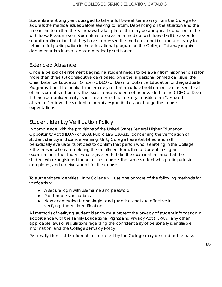Students are strongly encouraged to take a full 8-week term away from the College to address the medical issues before seeking to return. Depending on the situation and the time in the term that the withdrawal takes place, this may be a required condition of the withdrawal/readmission. Students who leave on a medical withdrawal will be asked to submit confirmation that they have addressed the medical condition and are ready to return to full participation in the educational program of the College. This may require documentation from a licensed medical practitioner.

#### Extended Absence

Once a period of enrollment begins, if a student needs to be away from his or her class for more than three (3) consecutive days based on either a personal or medical issue, the Chief Distance Education Officer (CDEO) or Dean of Distance Education Undergraduate Programs should be notified immediately so that an official notification can be sent to all of the student's instructors. The exact reasons need not be revealed to the CDEO or Dean if there is a confidentiality issue. This does not necessarily constitute an "excused absence," relieve the student of her/his responsibilities, or change the course expectations.

### Student Identity Verification Policy

In compliance with the provisions of the United States Federal Higher Education Opportunity Act (HEOA) of 2008, Public Law 110-315, concerning the verification of student identity in distance learning, Unity College has established and will periodically evaluate its process to confirm that person who is enrolling in the College is the person who is completing the enrollment form, that a student taking an examination is the student who registered to take the examination, and that the student who is registered for an online course is the same student who participates in, completes, and receives credit for the course.

To authenticate identities, Unity College will use one or more of the following methods for verification:

- A secure login with username and password
- Proctored examinations
- New or emerging technologies and practices that are effective in verifying student identification

All methods of verifying student identity must protect the privacy of student information in accordance with the Family Educational Rights and Privacy Act (FERPA), any other applicable laws or regulations regarding the confidentiality of personally identifiable information, and the College's Privacy Policy.

Personally identifiable information collected by the College may be used as the basis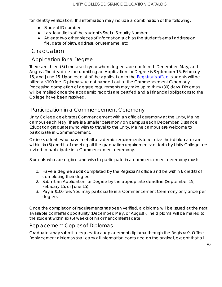for identity verification. This information may include a combination of the following:

- Student ID number
- Last four digits of the student's Social Security Number
- At least two other pieces of information such as the student's email address on file, date of birth, address, or username, etc.

# Graduation

### Application for a Degree

There are three (3) times each year when degrees are conferred: December, May, and August. The deadline for submitting an Application for Degree is September 15, February 15, and June 15. Upon receipt of the application to the [Registrar's office,](https://www.unity.edu/academics/academic-resources/registrar/) students will be billed a \$100 fee. Diplomas are not handed out at the Commencement Ceremony. Processing completion of degree requirements may take up to thirty (30) days. Diplomas will be mailed once the academic records are certified and all financial obligations to the College have been resolved.

### Participation in a Commencement Ceremony

Unity College celebrates Commencement with an official ceremony at the Unity, Maine campus each May. There is a smaller ceremony on campus each December. Distance Education graduates who wish to travel to the Unity, Maine campus are welcome to participate in Commencement.

Online students who have met all academic requirements to receive their diploma or are within six (6) credits of meeting all the graduation requirements set forth by Unity College are invited to participate in a Commencement ceremony.

Students who are eligible and wish to participate in a commencement ceremony must:

- 1. Have a degree audit completed by the Registrar's office and be within 6 credits of completing their degree
- 2. Submit an Application for Degree by the appropriate deadline (September 15, February 15, or June 15)
- 3. Pay a \$100 fee. You may participate in a Commencement Ceremony only once per degree.

Once the completion of requirements has been verified, a diploma will be issued at the next available conferral opportunity (December, May, or August). The diploma will be mailed to the student within six (6) weeks of his or her conferral date.

### Replacement Copies of Diplomas

Graduates may submit a request for a replacement diploma through the Registrar's Office. Replacement diplomas shall carry all information contained on the original, except that all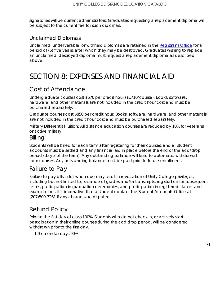signatories will be current administrators. Graduates requesting a replacement diploma will be subject to the current fee for such diplomas.

#### Unclaimed Diplomas

Unclaimed, undeliverable, or withheld diplomas are retained in the [Registrar's Office](https://www.unity.edu/academics/academic-resources/registrar/) for a period of (5) five years, after which they may be destroyed. Graduates wishing to replace an unclaimed, destroyed diploma must request a replacement diploma as described above.

# SECTION 8: EXPENSES AND FINANCIAL AID

# Cost of Attendance

Undergraduate courses cost \$570 per credit hour (\$1710/course). Books, software, hardware, and other materials are not included in the credit hour cost and must be purchased separately.

Graduate courses cost \$850 per credit hour. Books, software, hardware, and other materials are not included in the credit hour cost and must be purchased separately.

Military Differential Tuition: All distance education courses are reduced by 10% for veterans or active military.

#### Billing

Students will be billed for each term after registering for their courses, and all student accounts must be settled and any financial aid in place before the end of the add/drop period (day 3 of the term). Any outstanding balance will lead to automatic withdrawal from courses. Any outstanding balance must be paid prior to future enrollment.

# Failure to Pay

Failure to pay bills in full when due may result in revocation of Unity College privileges, including but not limited to, issuance of grades and/or transcripts, registration for subsequent terms, participation in graduation ceremonies, and participation in registered classes and examinations. It is imperative that a student contact the Student Accounts Office at (207)509-7261 if any charges are disputed.

# Refund Policy

Prior to the first day of class 100%. Students who do not check in, or actively start participation in their online courses during the add drop period, will be considered withdrawn prior to the first day.

1-3 calendar days 90%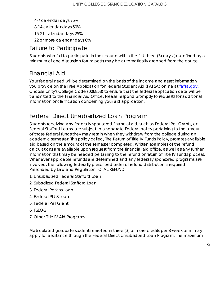- 4-7 calendar days 75%
- 8-14 calendar days 50%
- 15-21 calendar days 25%
- 22 or more calendar days 0%

# Failure to Participate

Students who fail to participate in their course within the first three (3) days (as defined by a minimum of one discussion forum post) may be automatically dropped from the course.

# Financial Aid

Your federal need will be determined on the basis of the income and asset information you provide on the Free Application for Federal Student Aid (FAFSA) online at [fafsa.gov.](http://fafsa.gov/) Choose Unity's College Code (006858) to ensure that the federal application data will be transmitted to the Financial Aid Office. Please respond promptly to requests for additional information or clarification concerning your aid application.

# Federal Direct Unsubsidized Loan Program

Students receiving any federally sponsored financial aid, such as Federal Pell Grants, or Federal Stafford Loans, are subject to a separate Federal policy pertaining to the amount of those federal funds they may retain when they withdraw from the college during an academic semester. This policy called, The Return of Title IV Funds Policy, prorates available aid based on the amount of the semester completed. Written examples of the refund calculations are available upon request from the financial aid office, as well as any further information that may be needed pertaining to the refund or return of Title IV Funds process. Whenever applicable refunds are determined and any federally sponsored programs are involved, the following federally prescribed order of refund distribution is required Prescribed by Law and Regulation TOTAL REFUND:

- 1. Unsubsidized Federal Stafford Loan
- 2. Subsidized Federal Stafford Loan
- 3. Federal Perkins Loan
- 4. Federal PLUS Loan
- 5. Federal Pell Grant
- 6. FSEOG
- 7. Other Title IV Aid Programs

Matriculated graduate students enrolled in three (3) or more credits per 8-week term may apply for assistance through the Federal Direct Unsubsidized Loan Program. The maximum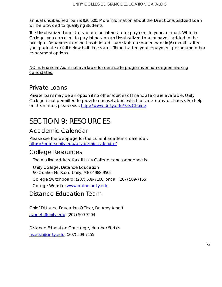annual unsubsidized loan is \$20,500. More information about the Direct Unsubsidized Loan will be provided to qualifying students.

The Unsubsidized Loan starts to accrue interest after payment to your account. While in College, you can elect to pay interest on an Unsubsidized Loan or have it added to the principal. Repayment on the Unsubsidized Loan starts no sooner than six (6) months after you graduate or fall below half-time status. There is a ten-year repayment period and other re-payment options.

NOTE: Financial Aid is not available for certificate programs or non-degree seeking candidates.

### Private Loans

Private loans may be an option if no other sources of financial aid are available. Unity College is not permitted to provide counsel about which private loans to choose. For help on this matter, please visit: [http://www.Unity.edu/FastChoice.](http://www.unity.edu/FastChoice)

# SECTION 9: RESOURCES

## Academic Calendar

Please see the webpage for the current academic calendar: <https://online.unity.edu/academic-calendar/>

#### College Resources

The mailing address for all Unity College correspondence is:

Unity College, Distance Education 90 Quaker Hill Road Unity, ME 04988-9502

College Switchboard: (207) 509-7100; or call (207) 509-7155

College Website: [www.online.unity.edu](http://www.unity.edu/)

Distance Education Team

Chief Distance Education Officer, Dr. Amy Arnett [aarnett@unity.edu:](mailto:aarnett@unity.edu) (207) 509-7204

Distance Education Concierge, Heather Stetkis [hstetkis@unity.edu:](mailto:hstetkis@unity.edu) (207) 509-7155